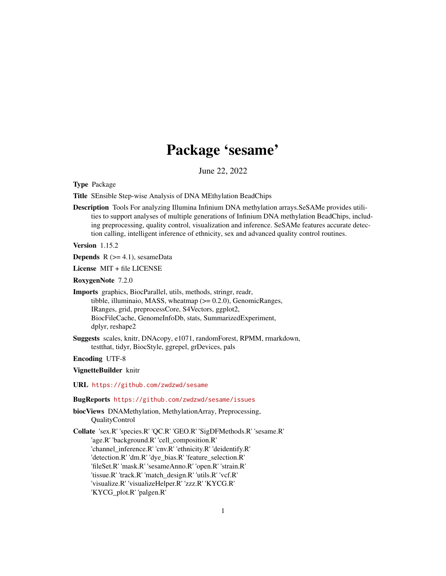# Package 'sesame'

June 22, 2022

Type Package

Title SEnsible Step-wise Analysis of DNA MEthylation BeadChips

Description Tools For analyzing Illumina Infinium DNA methylation arrays.SeSAMe provides utilities to support analyses of multiple generations of Infinium DNA methylation BeadChips, including preprocessing, quality control, visualization and inference. SeSAMe features accurate detection calling, intelligent inference of ethnicity, sex and advanced quality control routines.

Version 1.15.2

**Depends**  $R$  ( $>= 4.1$ ), sesameData

License MIT + file LICENSE

RoxygenNote 7.2.0

Imports graphics, BiocParallel, utils, methods, stringr, readr, tibble, illuminaio, MASS, wheatmap (>= 0.2.0), GenomicRanges, IRanges, grid, preprocessCore, S4Vectors, ggplot2, BiocFileCache, GenomeInfoDb, stats, SummarizedExperiment, dplyr, reshape2

Suggests scales, knitr, DNAcopy, e1071, randomForest, RPMM, rmarkdown, testthat, tidyr, BiocStyle, ggrepel, grDevices, pals

Encoding UTF-8

VignetteBuilder knitr

URL <https://github.com/zwdzwd/sesame>

#### BugReports <https://github.com/zwdzwd/sesame/issues>

biocViews DNAMethylation, MethylationArray, Preprocessing, QualityControl

Collate 'sex.R' 'species.R' 'QC.R' 'GEO.R' 'SigDFMethods.R' 'sesame.R' 'age.R' 'background.R' 'cell\_composition.R' 'channel\_inference.R' 'cnv.R' 'ethnicity.R' 'deidentify.R' 'detection.R' 'dm.R' 'dye\_bias.R' 'feature\_selection.R' 'fileSet.R' 'mask.R' 'sesameAnno.R' 'open.R' 'strain.R' 'tissue.R' 'track.R' 'match\_design.R' 'utils.R' 'vcf.R' 'visualize.R' 'visualizeHelper.R' 'zzz.R' 'KYCG.R' 'KYCG\_plot.R' 'palgen.R'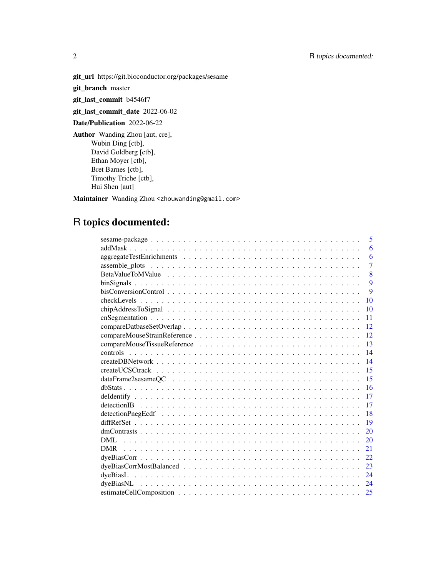2 R topics documented:

git\_url https://git.bioconductor.org/packages/sesame

git\_branch master

git\_last\_commit b4546f7

git\_last\_commit\_date 2022-06-02

Date/Publication 2022-06-22

Author Wanding Zhou [aut, cre], Wubin Ding [ctb], David Goldberg [ctb], Ethan Moyer [ctb], Bret Barnes [ctb], Timothy Triche [ctb], Hui Shen [aut]

Maintainer Wanding Zhou <zhouwanding@gmail.com>

# R topics documented:

| 5                                                                                                                  |
|--------------------------------------------------------------------------------------------------------------------|
| 6                                                                                                                  |
| 6                                                                                                                  |
| $\overline{7}$                                                                                                     |
| 8                                                                                                                  |
| 9                                                                                                                  |
| 9                                                                                                                  |
| 10                                                                                                                 |
| 10                                                                                                                 |
| 11                                                                                                                 |
| 12                                                                                                                 |
| 12                                                                                                                 |
| 13                                                                                                                 |
| 14                                                                                                                 |
| 14                                                                                                                 |
| 15                                                                                                                 |
| 15<br>$dataFrame2$ sesame $QC \dots \dots \dots \dots \dots \dots \dots \dots \dots \dots \dots \dots \dots \dots$ |
| 16                                                                                                                 |
| 17                                                                                                                 |
| 17                                                                                                                 |
| 18                                                                                                                 |
| 19                                                                                                                 |
| 20                                                                                                                 |
| DML.<br>20                                                                                                         |
| 21                                                                                                                 |
| 22                                                                                                                 |
| 23                                                                                                                 |
| 24                                                                                                                 |
| 24                                                                                                                 |
| 25                                                                                                                 |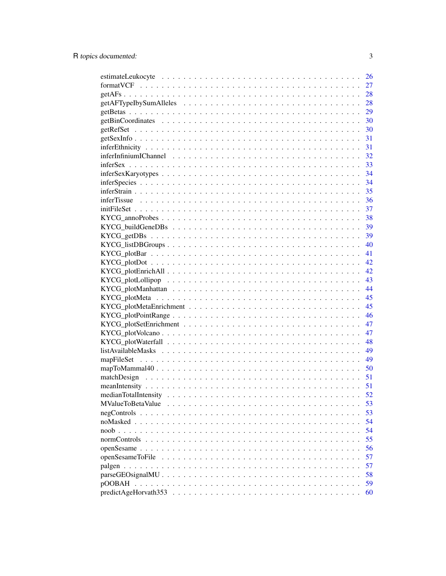|                                                                                                               | 26 |
|---------------------------------------------------------------------------------------------------------------|----|
|                                                                                                               | 27 |
|                                                                                                               | 28 |
|                                                                                                               | 28 |
|                                                                                                               | 29 |
|                                                                                                               | 30 |
|                                                                                                               | 30 |
|                                                                                                               | 31 |
|                                                                                                               | 31 |
|                                                                                                               | 32 |
|                                                                                                               | 33 |
|                                                                                                               | 34 |
|                                                                                                               | 34 |
|                                                                                                               | 35 |
|                                                                                                               |    |
|                                                                                                               |    |
|                                                                                                               |    |
|                                                                                                               |    |
|                                                                                                               |    |
|                                                                                                               |    |
|                                                                                                               |    |
| $KYCG\_plotDot \dots \dots \dots \dots \dots \dots \dots \dots \dots \dots \dots \dots \dots \dots \dots$     | 42 |
|                                                                                                               | 42 |
|                                                                                                               | 43 |
|                                                                                                               | 44 |
|                                                                                                               | 45 |
|                                                                                                               | 45 |
|                                                                                                               | 46 |
|                                                                                                               | 47 |
|                                                                                                               | 47 |
|                                                                                                               |    |
|                                                                                                               |    |
|                                                                                                               |    |
|                                                                                                               | 50 |
|                                                                                                               | 51 |
|                                                                                                               | 51 |
|                                                                                                               | 52 |
|                                                                                                               | 53 |
| $negContents \dots \dots \dots \dots \dots \dots \dots \dots \dots \dots \dots \dots \dots \dots \dots \dots$ | 53 |
|                                                                                                               | 54 |
|                                                                                                               | 54 |
|                                                                                                               | 55 |
|                                                                                                               | 56 |
|                                                                                                               | 57 |
|                                                                                                               | 57 |
|                                                                                                               | 58 |
|                                                                                                               | 59 |
|                                                                                                               |    |
|                                                                                                               | 60 |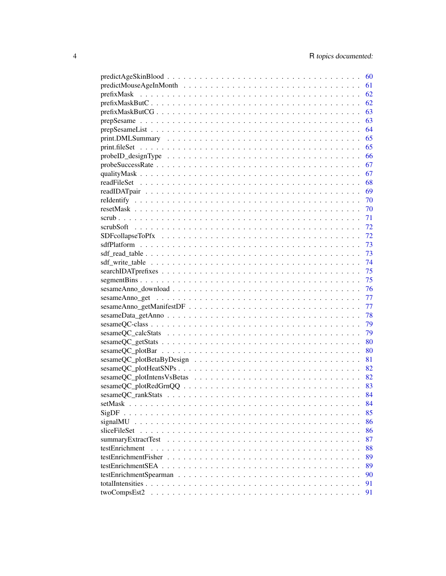|                                                                                                    | 60 |
|----------------------------------------------------------------------------------------------------|----|
|                                                                                                    | 61 |
|                                                                                                    | 62 |
|                                                                                                    | 62 |
|                                                                                                    | 63 |
|                                                                                                    | 63 |
|                                                                                                    | 64 |
|                                                                                                    | 65 |
|                                                                                                    | 65 |
| $probeID\_designType \ldots \ldots \ldots \ldots \ldots \ldots \ldots \ldots \ldots \ldots \ldots$ | 66 |
|                                                                                                    | 67 |
|                                                                                                    | 67 |
|                                                                                                    |    |
|                                                                                                    |    |
| relation that $70$                                                                                 |    |
|                                                                                                    |    |
|                                                                                                    |    |
|                                                                                                    | 72 |
|                                                                                                    | 72 |
|                                                                                                    | 73 |
|                                                                                                    | 73 |
|                                                                                                    | 74 |
|                                                                                                    | 75 |
|                                                                                                    | 75 |
|                                                                                                    | 76 |
|                                                                                                    | 77 |
|                                                                                                    | 77 |
|                                                                                                    | 78 |
|                                                                                                    | 79 |
|                                                                                                    | 79 |
|                                                                                                    | 80 |
|                                                                                                    | 80 |
|                                                                                                    | 81 |
|                                                                                                    |    |
|                                                                                                    |    |
|                                                                                                    |    |
|                                                                                                    |    |
|                                                                                                    | 84 |
| SigDF                                                                                              | 85 |
| signalMU                                                                                           | 86 |
| sliceFileSet                                                                                       | 86 |
| summaryExtractTest                                                                                 | 87 |
| testEnrichment                                                                                     | 88 |
| testEnrichmentFisher                                                                               | 89 |
|                                                                                                    | 89 |
|                                                                                                    | 90 |
|                                                                                                    | 91 |
| twoCompsEst2                                                                                       | 91 |
|                                                                                                    |    |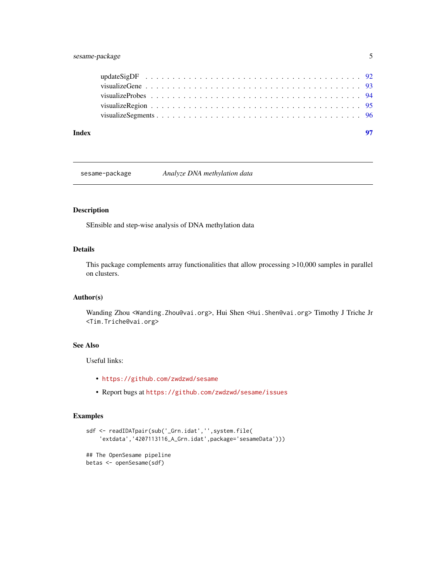# <span id="page-4-0"></span>sesame-package 5

| Index |  |
|-------|--|
|       |  |
|       |  |
|       |  |
|       |  |
|       |  |

sesame-package *Analyze DNA methylation data*

# Description

SEnsible and step-wise analysis of DNA methylation data

# Details

This package complements array functionalities that allow processing >10,000 samples in parallel on clusters.

#### Author(s)

Wanding Zhou <Wanding.Zhou@vai.org>, Hui Shen <Hui.Shen@vai.org> Timothy J Triche Jr <Tim.Triche@vai.org>

# See Also

Useful links:

- <https://github.com/zwdzwd/sesame>
- Report bugs at <https://github.com/zwdzwd/sesame/issues>

```
sdf <- readIDATpair(sub('_Grn.idat','',system.file(
    'extdata','4207113116_A_Grn.idat',package='sesameData')))
## The OpenSesame pipeline
betas <- openSesame(sdf)
```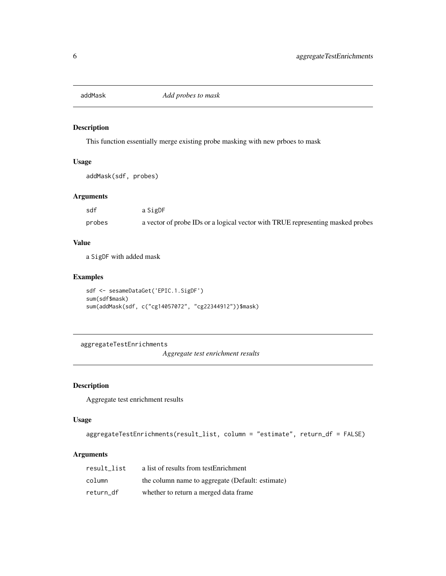<span id="page-5-0"></span>

This function essentially merge existing probe masking with new prboes to mask

# Usage

```
addMask(sdf, probes)
```
# Arguments

| sdf    | a SigDF                                                                        |
|--------|--------------------------------------------------------------------------------|
| probes | a vector of probe IDs or a logical vector with TRUE representing masked probes |

# Value

a SigDF with added mask

# Examples

```
sdf <- sesameDataGet('EPIC.1.SigDF')
sum(sdf$mask)
sum(addMask(sdf, c("cg14057072", "cg22344912"))$mask)
```
aggregateTestEnrichments

*Aggregate test enrichment results*

# Description

Aggregate test enrichment results

# Usage

```
aggregateTestEnrichments(result_list, column = "estimate", return_df = FALSE)
```
# Arguments

| result list | a list of results from testEnrichment            |
|-------------|--------------------------------------------------|
| column      | the column name to aggregate (Default: estimate) |
| return df   | whether to return a merged data frame.           |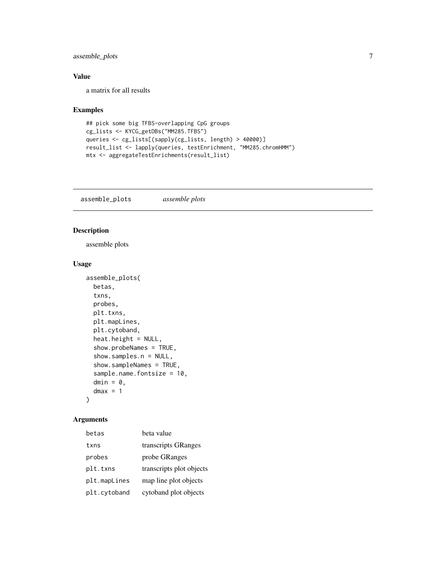# <span id="page-6-0"></span>assemble\_plots 7

# Value

a matrix for all results

# Examples

```
## pick some big TFBS-overlapping CpG groups
cg_lists <- KYCG_getDBs("MM285.TFBS")
queries <- cg_lists[(sapply(cg_lists, length) > 40000)]
result_list <- lapply(queries, testEnrichment, "MM285.chromHMM")
mtx <- aggregateTestEnrichments(result_list)
```
assemble\_plots *assemble plots*

# Description

assemble plots

# Usage

```
assemble_plots(
 betas,
  txns,
 probes,
 plt.txns,
 plt.mapLines,
 plt.cytoband,
 heat.height = NULL,
  show.probeNames = TRUE,
  show.samples.n = NULL,
  show.sampleNames = TRUE,
  sample.name.fontsize = 10,
 dmin = \theta,
  dmax = 1)
```
# Arguments

| betas        | beta value               |
|--------------|--------------------------|
| txns         | transcripts GRanges      |
| probes       | probe GRanges            |
| plt.txns     | transcripts plot objects |
| plt.mapLines | map line plot objects    |
| plt.cytoband | cytoband plot objects    |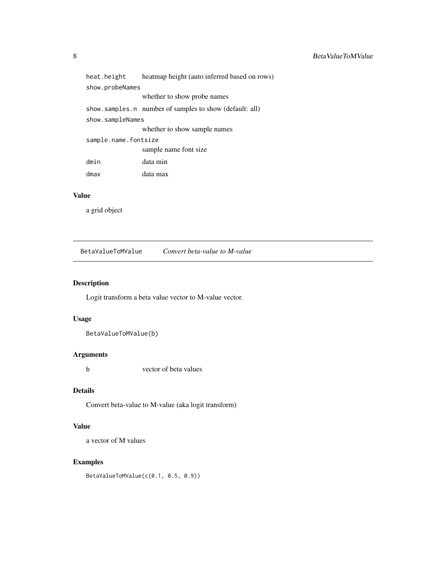<span id="page-7-0"></span>

| heat.height          | heatmap height (auto inferred based on rows)            |
|----------------------|---------------------------------------------------------|
| show.probeNames      |                                                         |
|                      | whether to show probe names                             |
|                      | show.samples.n number of samples to show (default: all) |
| show.sampleNames     |                                                         |
|                      | whether to show sample names                            |
| sample.name.fontsize |                                                         |
|                      | sample name font size                                   |
| dmin                 | data min                                                |
| dmax                 | data max                                                |

# Value

a grid object

BetaValueToMValue *Convert beta-value to M-value*

# Description

Logit transform a beta value vector to M-value vector.

# Usage

BetaValueToMValue(b)

# Arguments

b vector of beta values

# Details

Convert beta-value to M-value (aka logit transform)

# Value

a vector of M values

# Examples

BetaValueToMValue(c(0.1, 0.5, 0.9))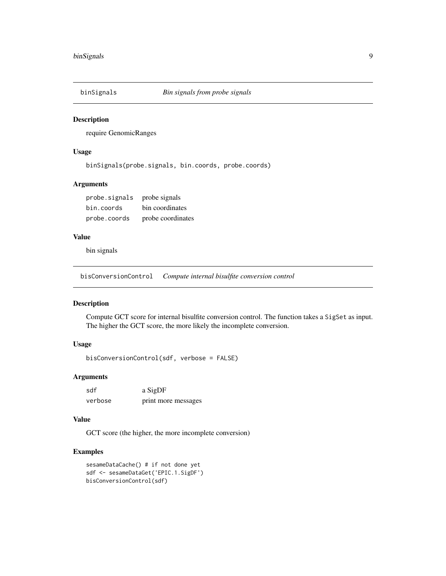<span id="page-8-0"></span>

require GenomicRanges

# Usage

binSignals(probe.signals, bin.coords, probe.coords)

# Arguments

| probe signals probe signals |                   |
|-----------------------------|-------------------|
| bin.coords                  | bin coordinates   |
| probe.coords                | probe coordinates |

# Value

bin signals

bisConversionControl *Compute internal bisulfite conversion control*

# Description

Compute GCT score for internal bisulfite conversion control. The function takes a SigSet as input. The higher the GCT score, the more likely the incomplete conversion.

# Usage

bisConversionControl(sdf, verbose = FALSE)

# Arguments

| sdf     | a SigDF             |
|---------|---------------------|
| verbose | print more messages |

#### Value

GCT score (the higher, the more incomplete conversion)

```
sesameDataCache() # if not done yet
sdf <- sesameDataGet('EPIC.1.SigDF')
bisConversionControl(sdf)
```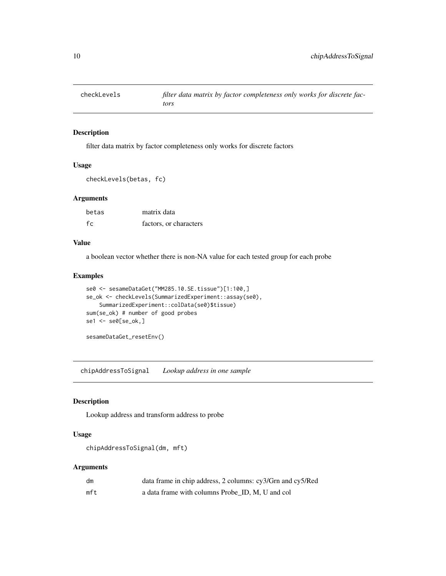<span id="page-9-0"></span>

filter data matrix by factor completeness only works for discrete factors

#### Usage

```
checkLevels(betas, fc)
```
#### Arguments

| betas | matrix data            |
|-------|------------------------|
| fc    | factors, or characters |

#### Value

a boolean vector whether there is non-NA value for each tested group for each probe

# Examples

```
se0 <- sesameDataGet("MM285.10.SE.tissue")[1:100,]
se_ok <- checkLevels(SummarizedExperiment::assay(se0),
    SummarizedExperiment::colData(se0)$tissue)
sum(se_ok) # number of good probes
se1 <- se0[se_ok,]
```
sesameDataGet\_resetEnv()

chipAddressToSignal *Lookup address in one sample*

# Description

Lookup address and transform address to probe

#### Usage

```
chipAddressToSignal(dm, mft)
```
# Arguments

| dm  | data frame in chip address, 2 columns: cy3/Grn and cy5/Red |
|-----|------------------------------------------------------------|
| mft | a data frame with columns Probe ID, M, U and col           |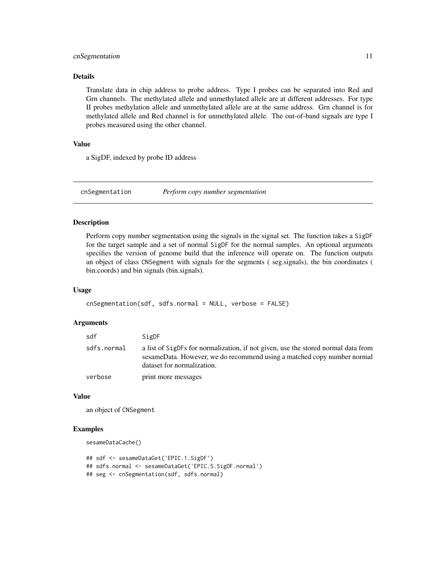# <span id="page-10-0"></span>cnSegmentation 11

#### Details

Translate data in chip address to probe address. Type I probes can be separated into Red and Grn channels. The methylated allele and unmethylated allele are at different addresses. For type II probes methylation allele and unmethylated allele are at the same address. Grn channel is for methylated allele and Red channel is for unmethylated allele. The out-of-band signals are type I probes measured using the other channel.

# Value

a SigDF, indexed by probe ID address

cnSegmentation *Perform copy number segmentation*

#### **Description**

Perform copy number segmentation using the signals in the signal set. The function takes a SigDF for the target sample and a set of normal SigDF for the normal samples. An optional arguments specifies the version of genome build that the inference will operate on. The function outputs an object of class CNSegment with signals for the segments ( seg.signals), the bin coordinates ( bin.coords) and bin signals (bin.signals).

#### Usage

```
cnSegmentation(sdf, sdfs.normal = NULL, verbose = FALSE)
```
#### Arguments

| sdf         | SigDF                                                                                                                                                                                      |
|-------------|--------------------------------------------------------------------------------------------------------------------------------------------------------------------------------------------|
| sdfs.normal | a list of SigDFs for normalization, if not given, use the stored normal data from<br>sesameData. However, we do recommend using a matched copy number normal<br>dataset for normalization. |
| verbose     | print more messages                                                                                                                                                                        |

#### Value

an object of CNSegment

#### Examples

```
sesameDataCache()
```
## sdf <- sesameDataGet('EPIC.1.SigDF') ## sdfs.normal <- sesameDataGet('EPIC.5.SigDF.normal') ## seg <- cnSegmentation(sdf, sdfs.normal)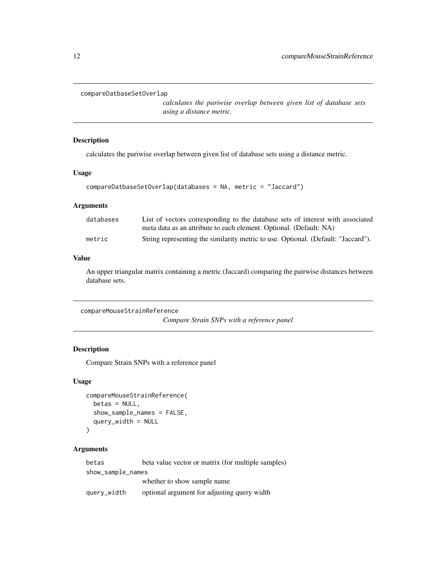```
compareDatbaseSetOverlap
```
*calculates the pariwise overlap between given list of database sets using a distance metric.*

# Description

calculates the pariwise overlap between given list of database sets using a distance metric.

#### Usage

```
compareDatbaseSetOverlap(databases = NA, metric = "Jaccard")
```
#### **Arguments**

| databases | List of vectors corresponding to the database sets of interest with associated    |
|-----------|-----------------------------------------------------------------------------------|
|           | meta data as an attribute to each element. Optional. (Default: NA)                |
| metric    | String representing the similarity metric to use. Optional. (Default: "Jaccard"). |

## Value

An upper triangular matrix containing a metric (Jaccard) comparing the pairwise distances between database sets.

```
compareMouseStrainReference
                         Compare Strain SNPs with a reference panel
```
# Description

Compare Strain SNPs with a reference panel

#### Usage

```
compareMouseStrainReference(
  betas = NULL,
  show_sample_names = FALSE,
  query_width = NULL
)
```
#### Arguments

betas beta value vector or matrix (for multiple samples) show\_sample\_names whether to show sample name query\_width optional argument for adjusting query width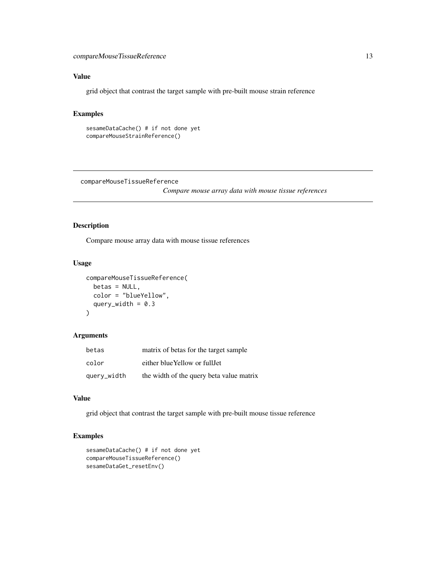# <span id="page-12-0"></span>Value

grid object that contrast the target sample with pre-built mouse strain reference

## Examples

```
sesameDataCache() # if not done yet
compareMouseStrainReference()
```
compareMouseTissueReference

*Compare mouse array data with mouse tissue references*

#### Description

Compare mouse array data with mouse tissue references

# Usage

```
compareMouseTissueReference(
 betas = NULL,
 color = "blueYellow",
 query_width = 0.3)
```
#### Arguments

| betas       | matrix of betas for the target sample    |
|-------------|------------------------------------------|
| color       | either blue Yellow or full Jet           |
| query_width | the width of the query beta value matrix |

# Value

grid object that contrast the target sample with pre-built mouse tissue reference

```
sesameDataCache() # if not done yet
compareMouseTissueReference()
sesameDataGet_resetEnv()
```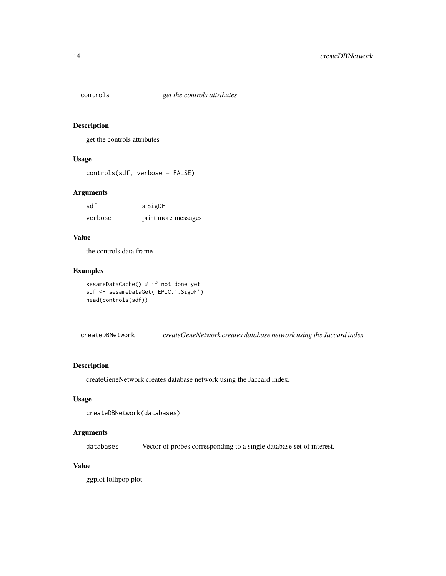<span id="page-13-0"></span>

get the controls attributes

# Usage

controls(sdf, verbose = FALSE)

# Arguments

| sdf     | a SigDF             |
|---------|---------------------|
| verbose | print more messages |

# Value

the controls data frame

#### Examples

```
sesameDataCache() # if not done yet
sdf <- sesameDataGet('EPIC.1.SigDF')
head(controls(sdf))
```
createDBNetwork *createGeneNetwork creates database network using the Jaccard index.*

#### Description

createGeneNetwork creates database network using the Jaccard index.

#### Usage

```
createDBNetwork(databases)
```
# Arguments

databases Vector of probes corresponding to a single database set of interest.

# Value

ggplot lollipop plot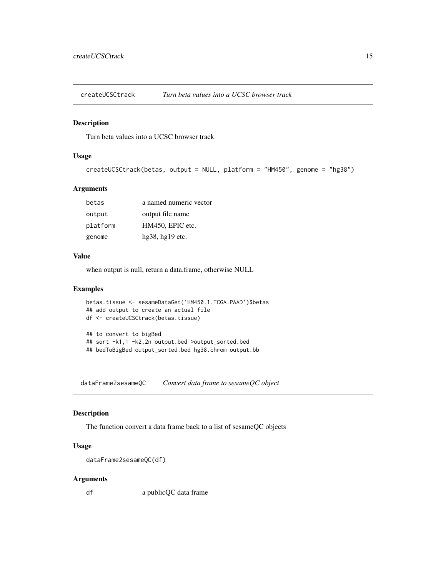<span id="page-14-0"></span>

Turn beta values into a UCSC browser track

# Usage

```
createUCSCtrack(betas, output = NULL, platform = "HM450", genome = "hg38")
```
#### Arguments

| betas    | a named numeric vector |
|----------|------------------------|
| output   | output file name       |
| platform | HM450, EPIC etc.       |
| genome   | $hg38, hg19$ etc.      |

#### Value

when output is null, return a data.frame, otherwise NULL

#### Examples

```
betas.tissue <- sesameDataGet('HM450.1.TCGA.PAAD')$betas
## add output to create an actual file
df <- createUCSCtrack(betas.tissue)
## to convert to bigBed
## sort -k1,1 -k2,2n output.bed >output_sorted.bed
## bedToBigBed output_sorted.bed hg38.chrom output.bb
```
dataFrame2sesameQC *Convert data frame to sesameQC object*

# Description

The function convert a data frame back to a list of sesameQC objects

#### Usage

```
dataFrame2sesameQC(df)
```
#### Arguments

df a publicQC data frame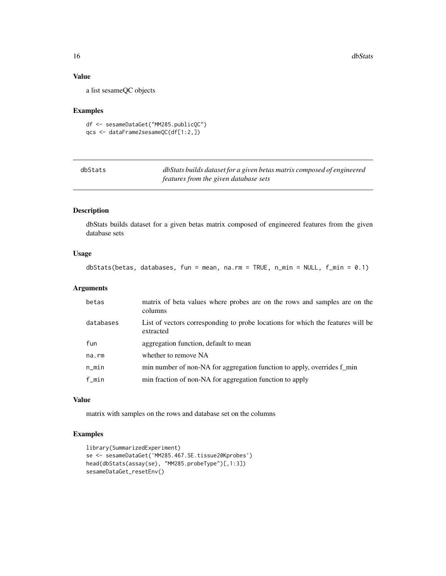# Value

a list sesameQC objects

#### Examples

```
df <- sesameDataGet("MM285.publicQC")
qcs <- dataFrame2sesameQC(df[1:2,])
```

| dbStats | dbStats builds dataset for a given betas matrix composed of engineered |
|---------|------------------------------------------------------------------------|
|         | features from the given database sets                                  |

# Description

dbStats builds dataset for a given betas matrix composed of engineered features from the given database sets

# Usage

```
dbStats(betas, databases, fun = mean, na.rm = TRUE, n_min = NULL, f_min = 0.1)
```
# Arguments

| betas     | matrix of beta values where probes are on the rows and samples are on the<br>columns         |
|-----------|----------------------------------------------------------------------------------------------|
| databases | List of vectors corresponding to probe locations for which the features will be<br>extracted |
| fun       | aggregation function, default to mean                                                        |
| na.rm     | whether to remove NA                                                                         |
| $n$ _min  | min number of non-NA for aggregation function to apply, overrides f_min                      |
| $f_m$ in  | min fraction of non-NA for aggregation function to apply                                     |

#### Value

matrix with samples on the rows and database set on the columns

```
library(SummarizedExperiment)
se <- sesameDataGet('MM285.467.SE.tissue20Kprobes')
head(dbStats(assay(se), "MM285.probeType")[,1:3])
sesameDataGet_resetEnv()
```
<span id="page-15-0"></span>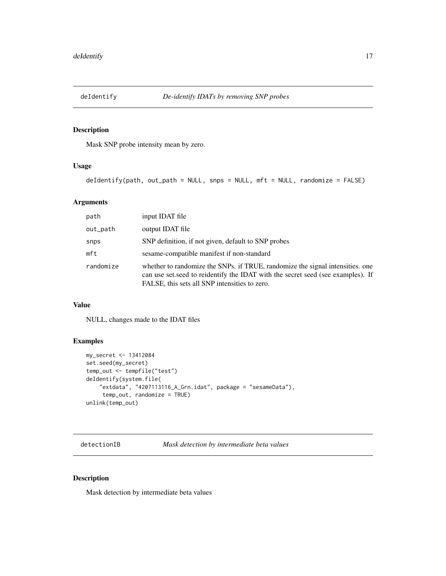<span id="page-16-0"></span>

Mask SNP probe intensity mean by zero.

#### Usage

deIdentify(path, out\_path = NULL, snps = NULL, mft = NULL, randomize = FALSE)

# Arguments

| path      | input IDAT file                                                                                                                                                                                                    |
|-----------|--------------------------------------------------------------------------------------------------------------------------------------------------------------------------------------------------------------------|
| out_path  | output IDAT file                                                                                                                                                                                                   |
| snps      | SNP definition, if not given, default to SNP probes                                                                                                                                                                |
| mft       | sesame-compatible manifest if non-standard                                                                                                                                                                         |
| randomize | whether to randomize the SNPs. if TRUE, randomize the signal intensities, one<br>can use set, seed to reidentify the IDAT with the secret seed (see examples). If<br>FALSE, this sets all SNP intensities to zero. |

# Value

NULL, changes made to the IDAT files

#### Examples

```
my_secret <- 13412084
set.seed(my_secret)
temp_out <- tempfile("test")
deIdentify(system.file(
    "extdata", "4207113116_A_Grn.idat", package = "sesameData"),
     temp_out, randomize = TRUE)
unlink(temp_out)
```
detectionIB *Mask detection by intermediate beta values*

#### Description

Mask detection by intermediate beta values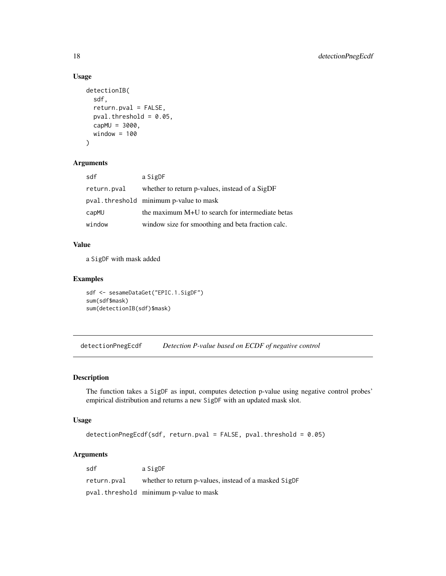# Usage

```
detectionIB(
  sdf,
  return.pval = FALSE,
 pval.threshold = 0.05,
 capMU = 3000,window = 100)
```
#### Arguments

| sdf         | a SigDF                                           |
|-------------|---------------------------------------------------|
| return.pval | whether to return p-values, instead of a SigDF    |
|             | pval.threshold minimum p-value to mask            |
| capMU       | the maximum M+U to search for intermediate betas  |
| window      | window size for smoothing and beta fraction calc. |

# Value

a SigDF with mask added

# Examples

```
sdf <- sesameDataGet("EPIC.1.SigDF")
sum(sdf$mask)
sum(detectionIB(sdf)$mask)
```
detectionPnegEcdf *Detection P-value based on ECDF of negative control*

# Description

The function takes a SigDF as input, computes detection p-value using negative control probes' empirical distribution and returns a new SigDF with an updated mask slot.

# Usage

```
detectionPnegEcdf(sdf, return.pval = FALSE, pval.threshold = 0.05)
```
#### Arguments

sdf a SigDF return.pval whether to return p-values, instead of a masked SigDF pval.threshold minimum p-value to mask

<span id="page-17-0"></span>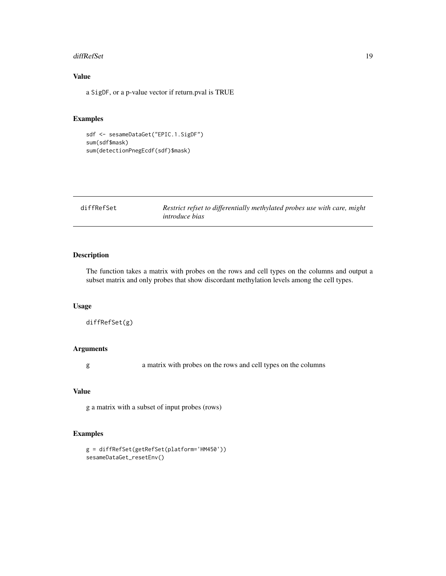#### <span id="page-18-0"></span>diffRefSet 19

# Value

a SigDF, or a p-value vector if return.pval is TRUE

#### Examples

```
sdf <- sesameDataGet("EPIC.1.SigDF")
sum(sdf$mask)
sum(detectionPnegEcdf(sdf)$mask)
```

| diffRefSet | Restrict refset to differentially methylated probes use with care, might |  |
|------------|--------------------------------------------------------------------------|--|
|            | <i>introduce bias</i>                                                    |  |

# Description

The function takes a matrix with probes on the rows and cell types on the columns and output a subset matrix and only probes that show discordant methylation levels among the cell types.

# Usage

```
diffRefSet(g)
```
# Arguments

g a matrix with probes on the rows and cell types on the columns

#### Value

g a matrix with a subset of input probes (rows)

```
g = diffRefSet(getRefSet(platform='HM450'))
sesameDataGet_resetEnv()
```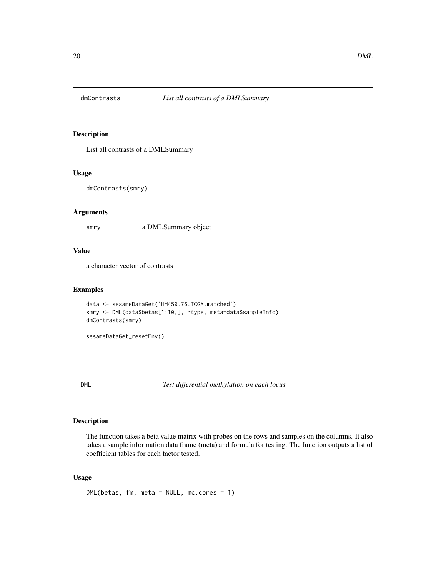<span id="page-19-0"></span>

List all contrasts of a DMLSummary

#### Usage

```
dmContrasts(smry)
```
# Arguments

smry a DMLSummary object

#### Value

a character vector of contrasts

#### Examples

```
data <- sesameDataGet('HM450.76.TCGA.matched')
smry <- DML(data$betas[1:10,], ~type, meta=data$sampleInfo)
dmContrasts(smry)
```
sesameDataGet\_resetEnv()

DML *Test differential methylation on each locus*

# Description

The function takes a beta value matrix with probes on the rows and samples on the columns. It also takes a sample information data frame (meta) and formula for testing. The function outputs a list of coefficient tables for each factor tested.

# Usage

DML(betas, fm, meta = NULL, mc.cores = 1)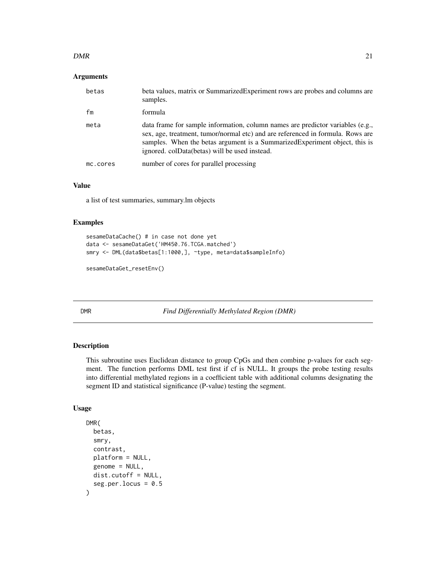#### <span id="page-20-0"></span> $DMR$  21

#### Arguments

| betas    | beta values, matrix or Summarized Experiment rows are probes and columns are<br>samples.                                                                                                                                                                                                         |
|----------|--------------------------------------------------------------------------------------------------------------------------------------------------------------------------------------------------------------------------------------------------------------------------------------------------|
| fm       | formula                                                                                                                                                                                                                                                                                          |
| meta     | data frame for sample information, column names are predictor variables (e.g.,<br>sex, age, treatment, tumor/normal etc) and are referenced in formula. Rows are<br>samples. When the betas argument is a Summarized Experiment object, this is<br>ignored. colData(betas) will be used instead. |
| mc.cores | number of cores for parallel processing                                                                                                                                                                                                                                                          |

#### Value

a list of test summaries, summary.lm objects

#### Examples

```
sesameDataCache() # in case not done yet
data <- sesameDataGet('HM450.76.TCGA.matched')
smry <- DML(data$betas[1:1000,], ~type, meta=data$sampleInfo)
```

```
sesameDataGet_resetEnv()
```
DMR *Find Differentially Methylated Region (DMR)*

# Description

This subroutine uses Euclidean distance to group CpGs and then combine p-values for each segment. The function performs DML test first if cf is NULL. It groups the probe testing results into differential methylated regions in a coefficient table with additional columns designating the segment ID and statistical significance (P-value) testing the segment.

```
DMR(
  betas,
  smry,
  contrast,
  platform = NULL,
  genome = NULL,
  dist.cutoff = NULL,
  seg.per.locus = 0.5\mathcal{E}
```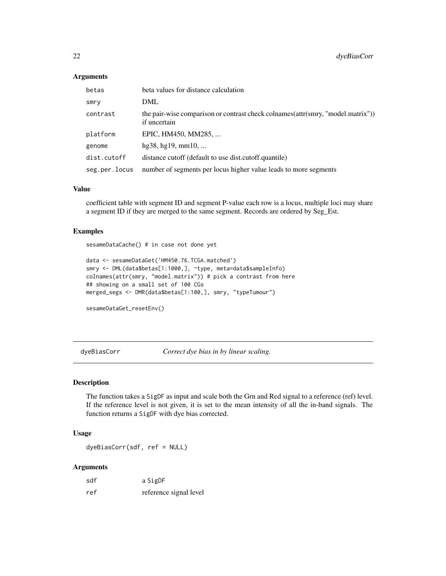#### Arguments

| betas         | beta values for distance calculation                                                              |
|---------------|---------------------------------------------------------------------------------------------------|
| smry          | DML                                                                                               |
| contrast      | the pair-wise comparison or contrast check colnames (attr (smry, "model.matrix"))<br>if uncertain |
| platform      | EPIC, HM450, MM285,                                                                               |
| genome        | hg38, hg19, mm10,                                                                                 |
| dist.cutoff   | distance cutoff (default to use dist.cutoff.quantile)                                             |
| seg.per.locus | number of segments per locus higher value leads to more segments                                  |

#### Value

coefficient table with segment ID and segment P-value each row is a locus, multiple loci may share a segment ID if they are merged to the same segment. Records are ordered by Seg\_Est.

#### Examples

sesameDataCache() # in case not done yet

```
data <- sesameDataGet('HM450.76.TCGA.matched')
smry <- DML(data$betas[1:1000,], ~type, meta=data$sampleInfo)
colnames(attr(smry, "model.matrix")) # pick a contrast from here
## showing on a small set of 100 CGs
merged_segs <- DMR(data$betas[1:100,], smry, "typeTumour")
```

```
sesameDataGet_resetEnv()
```
dyeBiasCorr *Correct dye bias in by linear scaling.*

#### Description

The function takes a SigDF as input and scale both the Grn and Red signal to a reference (ref) level. If the reference level is not given, it is set to the mean intensity of all the in-band signals. The function returns a SigDF with dye bias corrected.

#### Usage

dyeBiasCorr(sdf, ref = NULL)

#### **Arguments**

| sdf | a SigDF                |
|-----|------------------------|
| ref | reference signal level |

<span id="page-21-0"></span>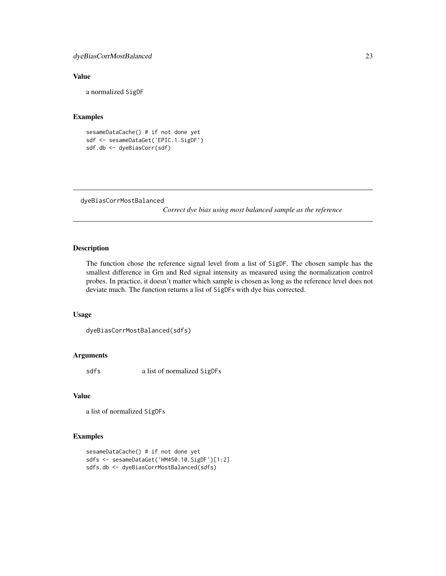#### <span id="page-22-0"></span>Value

a normalized SigDF

#### Examples

```
sesameDataCache() # if not done yet
sdf <- sesameDataGet('EPIC.1.SigDF')
sdf.db <- dyeBiasCorr(sdf)
```

```
dyeBiasCorrMostBalanced
```
*Correct dye bias using most balanced sample as the reference*

# Description

The function chose the reference signal level from a list of SigDF. The chosen sample has the smallest difference in Grn and Red signal intensity as measured using the normalization control probes. In practice, it doesn't matter which sample is chosen as long as the reference level does not deviate much. The function returns a list of SigDFs with dye bias corrected.

#### Usage

```
dyeBiasCorrMostBalanced(sdfs)
```
# Arguments

sdfs a list of normalized SigDFs

#### Value

a list of normalized SigDFs

```
sesameDataCache() # if not done yet
sdfs <- sesameDataGet('HM450.10.SigDF')[1:2]
sdfs.db <- dyeBiasCorrMostBalanced(sdfs)
```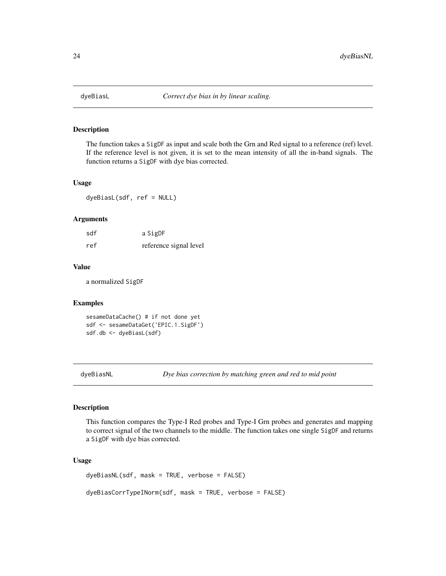<span id="page-23-0"></span>

The function takes a SigDF as input and scale both the Grn and Red signal to a reference (ref) level. If the reference level is not given, it is set to the mean intensity of all the in-band signals. The function returns a SigDF with dye bias corrected.

# Usage

dyeBiasL(sdf, ref = NULL)

#### Arguments

| sdf | a SigDF                |
|-----|------------------------|
| ref | reference signal level |

#### Value

a normalized SigDF

#### Examples

sesameDataCache() # if not done yet sdf <- sesameDataGet('EPIC.1.SigDF') sdf.db <- dyeBiasL(sdf)

dyeBiasNL *Dye bias correction by matching green and red to mid point*

#### Description

This function compares the Type-I Red probes and Type-I Grn probes and generates and mapping to correct signal of the two channels to the middle. The function takes one single SigDF and returns a SigDF with dye bias corrected.

#### Usage

dyeBiasNL(sdf, mask = TRUE, verbose = FALSE) dyeBiasCorrTypeINorm(sdf, mask = TRUE, verbose = FALSE)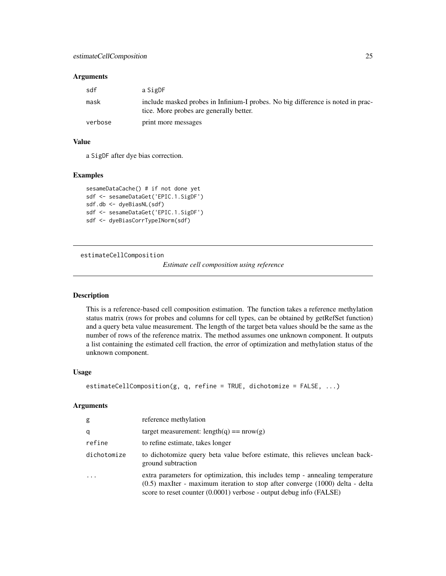#### <span id="page-24-0"></span>**Arguments**

| sdf     | a SigDF                                                                                                                    |
|---------|----------------------------------------------------------------------------------------------------------------------------|
| mask    | include masked probes in Infinium-I probes. No big difference is noted in prac-<br>tice. More probes are generally better. |
| verbose | print more messages                                                                                                        |

#### Value

a SigDF after dye bias correction.

#### Examples

```
sesameDataCache() # if not done yet
sdf <- sesameDataGet('EPIC.1.SigDF')
sdf.db <- dyeBiasNL(sdf)
sdf <- sesameDataGet('EPIC.1.SigDF')
sdf <- dyeBiasCorrTypeINorm(sdf)
```
estimateCellComposition

*Estimate cell composition using reference*

# Description

This is a reference-based cell composition estimation. The function takes a reference methylation status matrix (rows for probes and columns for cell types, can be obtained by getRefSet function) and a query beta value measurement. The length of the target beta values should be the same as the number of rows of the reference matrix. The method assumes one unknown component. It outputs a list containing the estimated cell fraction, the error of optimization and methylation status of the unknown component.

#### Usage

```
estimateCellComposition(g, q, refine = TRUE, dichotomize = FALSE, ...)
```
#### Arguments

| g           | reference methylation                                                                                                                                                                                                                   |
|-------------|-----------------------------------------------------------------------------------------------------------------------------------------------------------------------------------------------------------------------------------------|
| q           | target measurement: $length(q) == nrow(q)$                                                                                                                                                                                              |
| refine      | to refine estimate, takes longer                                                                                                                                                                                                        |
| dichotomize | to dichotomize query beta value before estimate, this relieves unclean back-<br>ground subtraction                                                                                                                                      |
| $\cdot$     | extra parameters for optimization, this includes temp - annealing temperature<br>$(0.5)$ maximum iteration to stop after converge $(1000)$ delta - delta<br>score to reset counter $(0.0001)$ verbose - output debug info $(FA \cup E)$ |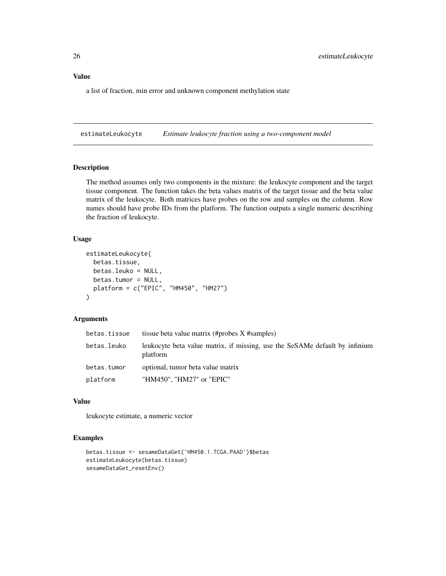# <span id="page-25-0"></span>Value

a list of fraction, min error and unknown component methylation state

estimateLeukocyte *Estimate leukocyte fraction using a two-component model*

# Description

The method assumes only two components in the mixture: the leukocyte component and the target tissue component. The function takes the beta values matrix of the target tissue and the beta value matrix of the leukocyte. Both matrices have probes on the row and samples on the column. Row names should have probe IDs from the platform. The function outputs a single numeric describing the fraction of leukocyte.

#### Usage

```
estimateLeukocyte(
 betas.tissue,
  betas.leuko = NULL,
  betas.tumor = NULL,
  platform = c("EPIC", "HM450", "HM27")
)
```
#### Arguments

| betas.tissue | tissue beta value matrix (#probes X #samples)                                           |
|--------------|-----------------------------------------------------------------------------------------|
| betas.leuko  | leukocyte beta value matrix, if missing, use the SeSAMe default by infinium<br>platform |
| betas.tumor  | optional, tumor beta value matrix                                                       |
| platform     | "HM450", "HM27" or "EPIC"                                                               |

#### Value

leukocyte estimate, a numeric vector

```
betas.tissue <- sesameDataGet('HM450.1.TCGA.PAAD')$betas
estimateLeukocyte(betas.tissue)
sesameDataGet_resetEnv()
```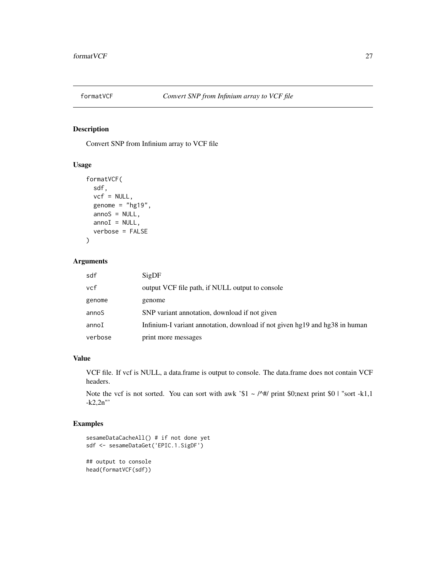<span id="page-26-0"></span>

Convert SNP from Infinium array to VCF file

#### Usage

```
formatVCF(
  sdf,
  vcf = NULL,genome = "hg19",annos = NULL,annoI = NULL,verbose = FALSE
\mathcal{L}
```
# Arguments

| sdf     | SigDF                                                                       |
|---------|-----------------------------------------------------------------------------|
| vcf     | output VCF file path, if NULL output to console                             |
| genome  | genome                                                                      |
| annoS   | SNP variant annotation, download if not given                               |
| annoI   | Infinium-I variant annotation, download if not given hg19 and hg38 in human |
| verbose | print more messages                                                         |

# Value

VCF file. If vcf is NULL, a data.frame is output to console. The data.frame does not contain VCF headers.

Note the vcf is not sorted. You can sort with awk '\$1 ~ /^#/ print \$0;next print \$0 | "sort -k1,1" -k2,2n"'

```
sesameDataCacheAll() # if not done yet
sdf <- sesameDataGet('EPIC.1.SigDF')
## output to console
head(formatVCF(sdf))
```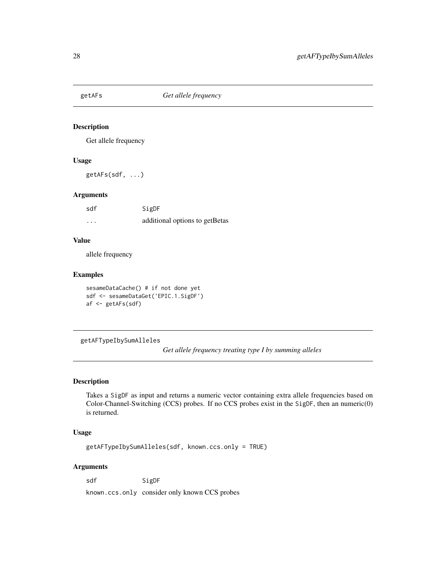<span id="page-27-0"></span>

Get allele frequency

# Usage

getAFs(sdf, ...)

#### Arguments

| sdf      | SigDF                          |
|----------|--------------------------------|
| $\cdots$ | additional options to getBetas |

#### Value

allele frequency

#### Examples

```
sesameDataCache() # if not done yet
sdf <- sesameDataGet('EPIC.1.SigDF')
af <- getAFs(sdf)
```
getAFTypeIbySumAlleles

*Get allele frequency treating type I by summing alleles*

#### Description

Takes a SigDF as input and returns a numeric vector containing extra allele frequencies based on Color-Channel-Switching (CCS) probes. If no CCS probes exist in the SigDF, then an numeric(0) is returned.

# Usage

getAFTypeIbySumAlleles(sdf, known.ccs.only = TRUE)

#### Arguments

sdf SigDF

known.ccs.only consider only known CCS probes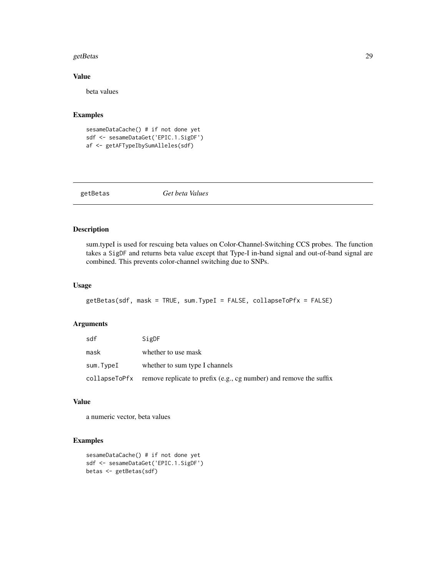#### <span id="page-28-0"></span>getBetas 29

# Value

beta values

#### Examples

```
sesameDataCache() # if not done yet
sdf <- sesameDataGet('EPIC.1.SigDF')
af <- getAFTypeIbySumAlleles(sdf)
```
getBetas *Get beta Values*

# Description

sum.typeI is used for rescuing beta values on Color-Channel-Switching CCS probes. The function takes a SigDF and returns beta value except that Type-I in-band signal and out-of-band signal are combined. This prevents color-channel switching due to SNPs.

# Usage

```
getBetas(sdf, mask = TRUE, sum.TypeI = FALSE, collapseToPfx = FALSE)
```
# Arguments

| sdf       | SigDF                                                                            |
|-----------|----------------------------------------------------------------------------------|
| mask      | whether to use mask                                                              |
| sum.TvpeI | whether to sum type I channels                                                   |
|           | collapseToPfx remove replicate to prefix (e.g., cg number) and remove the suffix |

# Value

a numeric vector, beta values

```
sesameDataCache() # if not done yet
sdf <- sesameDataGet('EPIC.1.SigDF')
betas <- getBetas(sdf)
```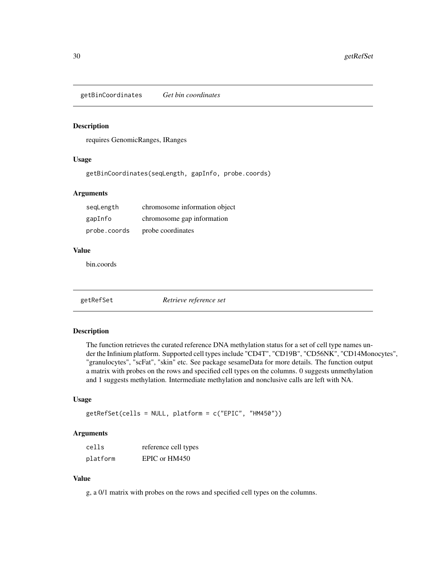<span id="page-29-0"></span>getBinCoordinates *Get bin coordinates*

#### Description

requires GenomicRanges, IRanges

# Usage

getBinCoordinates(seqLength, gapInfo, probe.coords)

#### Arguments

| segLength    | chromosome information object |
|--------------|-------------------------------|
| gapInfo      | chromosome gap information    |
| probe.coords | probe coordinates             |

#### Value

bin.coords

getRefSet *Retrieve reference set*

# Description

The function retrieves the curated reference DNA methylation status for a set of cell type names under the Infinium platform. Supported cell types include "CD4T", "CD19B", "CD56NK", "CD14Monocytes", "granulocytes", "scFat", "skin" etc. See package sesameData for more details. The function output a matrix with probes on the rows and specified cell types on the columns. 0 suggests unmethylation and 1 suggests methylation. Intermediate methylation and nonclusive calls are left with NA.

# Usage

```
getRefSet(cells = NULL, platform = c("EPIC", "HM450"))
```
#### Arguments

| cells    | reference cell types |
|----------|----------------------|
| platform | EPIC or HM450        |

# Value

g, a 0/1 matrix with probes on the rows and specified cell types on the columns.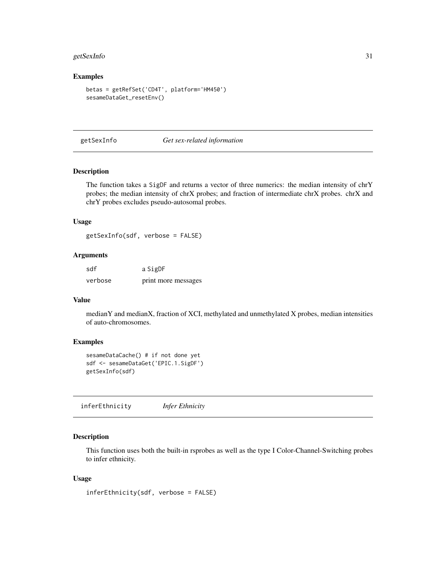# <span id="page-30-0"></span>getSexInfo 31

#### Examples

```
betas = getRefSet('CD4T', platform='HM450')
sesameDataGet_resetEnv()
```
getSexInfo *Get sex-related information*

#### Description

The function takes a SigDF and returns a vector of three numerics: the median intensity of chrY probes; the median intensity of chrX probes; and fraction of intermediate chrX probes. chrX and chrY probes excludes pseudo-autosomal probes.

## Usage

getSexInfo(sdf, verbose = FALSE)

#### Arguments

| sdf     | a SigDF             |
|---------|---------------------|
| verbose | print more messages |

#### Value

medianY and medianX, fraction of XCI, methylated and unmethylated X probes, median intensities of auto-chromosomes.

#### Examples

```
sesameDataCache() # if not done yet
sdf <- sesameDataGet('EPIC.1.SigDF')
getSexInfo(sdf)
```
inferEthnicity *Infer Ethnicity*

#### Description

This function uses both the built-in rsprobes as well as the type I Color-Channel-Switching probes to infer ethnicity.

#### Usage

inferEthnicity(sdf, verbose = FALSE)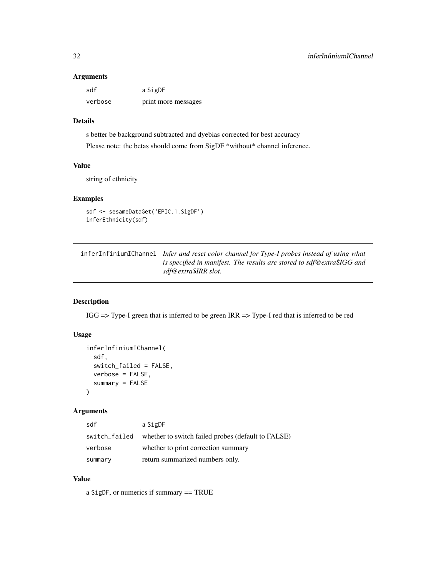#### Arguments

| sdf     | a SigDF             |
|---------|---------------------|
| verbose | print more messages |

# Details

s better be background subtracted and dyebias corrected for best accuracy Please note: the betas should come from SigDF \*without\* channel inference.

# Value

string of ethnicity

# Examples

```
sdf <- sesameDataGet('EPIC.1.SigDF')
inferEthnicity(sdf)
```
inferInfiniumIChannel *Infer and reset color channel for Type-I probes instead of using what is specified in manifest. The results are stored to sdf@extra\$IGG and sdf@extra\$IRR slot.*

# Description

IGG => Type-I green that is inferred to be green IRR => Type-I red that is inferred to be red

#### Usage

```
inferInfiniumIChannel(
  sdf,
  switch_failed = FALSE,
 verbose = FALSE,
  summary = FALSE
)
```
# Arguments

| sdf           | a SigDF                                            |
|---------------|----------------------------------------------------|
| switch_failed | whether to switch failed probes (default to FALSE) |
| verbose       | whether to print correction summary                |
| summary       | return summarized numbers only.                    |

# Value

a SigDF, or numerics if summary == TRUE

<span id="page-31-0"></span>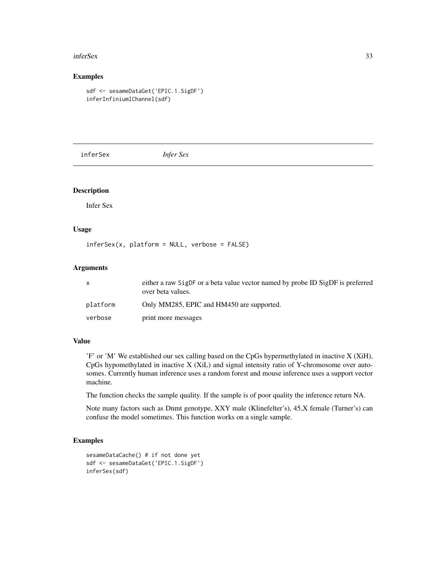#### <span id="page-32-0"></span>inferSex 33

# Examples

```
sdf <- sesameDataGet('EPIC.1.SigDF')
inferInfiniumIChannel(sdf)
```
inferSex *Infer Sex*

# Description

Infer Sex

# Usage

inferSex(x, platform = NULL, verbose = FALSE)

# Arguments

|          | either a raw SigDF or a beta value vector named by probe ID SigDF is preferred<br>over beta values. |
|----------|-----------------------------------------------------------------------------------------------------|
| platform | Only MM285, EPIC and HM450 are supported.                                                           |
| verbose  | print more messages                                                                                 |

# Value

'F' or 'M' We established our sex calling based on the CpGs hypermethylated in inactive X (XiH), CpGs hypomethylated in inactive X (XiL) and signal intensity ratio of Y-chromosome over autosomes. Currently human inference uses a random forest and mouse inference uses a support vector machine.

The function checks the sample quality. If the sample is of poor quality the inference return NA.

Note many factors such as Dnmt genotype, XXY male (Klinefelter's), 45,X female (Turner's) can confuse the model sometimes. This function works on a single sample.

```
sesameDataCache() # if not done yet
sdf <- sesameDataGet('EPIC.1.SigDF')
inferSex(sdf)
```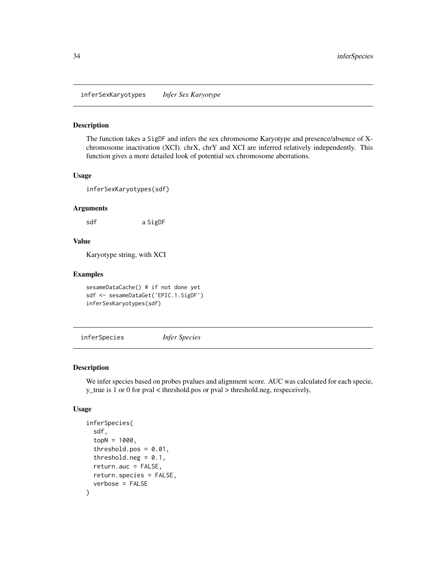<span id="page-33-0"></span>inferSexKaryotypes *Infer Sex Karyotype*

#### Description

The function takes a SigDF and infers the sex chromosome Karyotype and presence/absence of Xchromosome inactivation (XCI). chrX, chrY and XCI are inferred relatively independently. This function gives a more detailed look of potential sex chromosome aberrations.

#### Usage

inferSexKaryotypes(sdf)

#### Arguments

sdf a SigDF

#### Value

Karyotype string, with XCI

#### Examples

sesameDataCache() # if not done yet sdf <- sesameDataGet('EPIC.1.SigDF') inferSexKaryotypes(sdf)

inferSpecies *Infer Species*

# **Description**

We infer species based on probes pvalues and alignment score. AUC was calculated for each specie, y\_true is 1 or 0 for pval < threshold.pos or pval > threshold.neg, respeceively,

```
inferSpecies(
  sdf,
  topN = 1000,
  threshold.pos = 0.01,
  threshold.neg = 0.1,
  return.auc = FALSE,
  return.species = FALSE,
  verbose = FALSE
)
```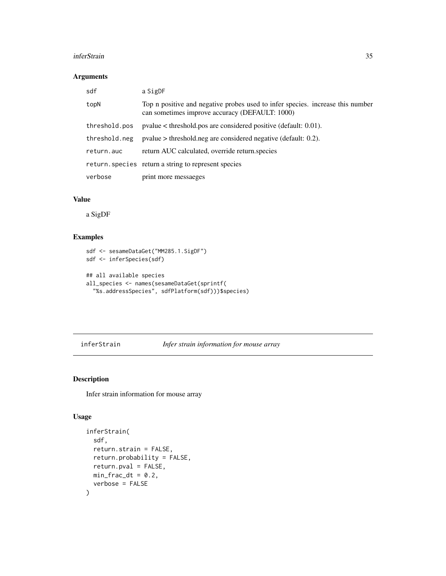#### <span id="page-34-0"></span>inferStrain 35

#### Arguments

| sdf           | a SigDF                                                                                                                          |
|---------------|----------------------------------------------------------------------------------------------------------------------------------|
| topN          | Top n positive and negative probes used to infer species. increase this number<br>can sometimes improve accuracy (DEFAULT: 1000) |
| threshold.pos | $pvalue <$ threshold positive (default: 0.01).                                                                                   |
| threshold.neg | $pvalue > threshold.neg$ are considered negative (default: 0.2).                                                                 |
| return.auc    | return AUC calculated, override return species                                                                                   |
|               | return. species return a string to represent species                                                                             |
| verbose       | print more messagges                                                                                                             |

#### Value

a SigDF

# Examples

```
sdf <- sesameDataGet("MM285.1.SigDF")
sdf <- inferSpecies(sdf)
## all available species
all_species <- names(sesameDataGet(sprintf(
  "%s.addressSpecies", sdfPlatform(sdf)))$species)
```

```
inferStrain Infer strain information for mouse array
```
# Description

Infer strain information for mouse array

```
inferStrain(
 sdf,
 return.strain = FALSE,
 return.probability = FALSE,
 return.pval = FALSE,
 min_frac_dt = 0.2,
 verbose = FALSE
)
```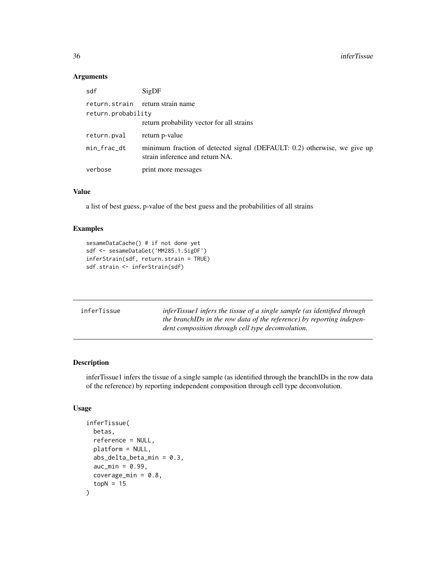# Arguments

| sdf                | SigDF                                                                                                       |
|--------------------|-------------------------------------------------------------------------------------------------------------|
| return.probability | return.strain return strain name                                                                            |
|                    | return probability vector for all strains                                                                   |
| return.pval        | return p-value                                                                                              |
| min_frac_dt        | minimum fraction of detected signal (DEFAULT: 0.2) otherwise, we give up<br>strain inference and return NA. |
| verbose            | print more messages                                                                                         |
|                    |                                                                                                             |

# Value

a list of best guess, p-value of the best guess and the probabilities of all strains

#### Examples

```
sesameDataCache() # if not done yet
sdf <- sesameDataGet('MM285.1.SigDF')
inferStrain(sdf, return.strain = TRUE)
sdf.strain <- inferStrain(sdf)
```

| inferTissuel infers the tissue of a single sample (as identified through<br>inferTissue<br>the branchIDs in the row data of the reference) by reporting indepen-<br>dent composition through cell type deconvolution. |
|-----------------------------------------------------------------------------------------------------------------------------------------------------------------------------------------------------------------------|
|-----------------------------------------------------------------------------------------------------------------------------------------------------------------------------------------------------------------------|

#### Description

inferTissue1 infers the tissue of a single sample (as identified through the branchIDs in the row data of the reference) by reporting independent composition through cell type deconvolution.

```
inferTissue(
 betas,
  reference = NULL,
 platform = NULL,
  abs_delta_beta_min = 0.3,
  auc\_min = 0.99,coverage_min = 0.8,
  topN = 15\mathcal{E}
```
<span id="page-35-0"></span>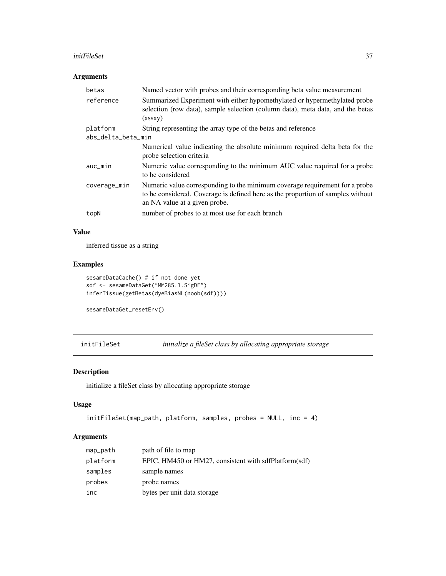#### initFileSet 37

# Arguments

| betas              | Named vector with probes and their corresponding beta value measurement                                                                                                                         |  |
|--------------------|-------------------------------------------------------------------------------------------------------------------------------------------------------------------------------------------------|--|
| reference          | Summarized Experiment with either hypomethylated or hypermethylated probe<br>selection (row data), sample selection (column data), meta data, and the betas<br>(assay)                          |  |
| platform           | String representing the array type of the betas and reference                                                                                                                                   |  |
| abs_delta_beta_min |                                                                                                                                                                                                 |  |
|                    | Numerical value indicating the absolute minimum required delta beta for the<br>probe selection criteria                                                                                         |  |
| $auc\_min$         | Numeric value corresponding to the minimum AUC value required for a probe<br>to be considered                                                                                                   |  |
| coverage_min       | Numeric value corresponding to the minimum coverage requirement for a probe<br>to be considered. Coverage is defined here as the proportion of samples without<br>an NA value at a given probe. |  |
| topN               | number of probes to at most use for each branch                                                                                                                                                 |  |

## Value

inferred tissue as a string

# Examples

```
sesameDataCache() # if not done yet
sdf <- sesameDataGet("MM285.1.SigDF")
inferTissue(getBetas(dyeBiasNL(noob(sdf))))
```

```
sesameDataGet_resetEnv()
```
initFileSet *initialize a fileSet class by allocating appropriate storage*

# Description

initialize a fileSet class by allocating appropriate storage

# Usage

```
initFileSet(map_path, platform, samples, probes = NULL, inc = 4)
```
# Arguments

| map_path | path of file to map                                   |
|----------|-------------------------------------------------------|
| platform | EPIC, HM450 or HM27, consistent with sdfPlatform(sdf) |
| samples  | sample names                                          |
| probes   | probe names                                           |
| inc      | bytes per unit data storage                           |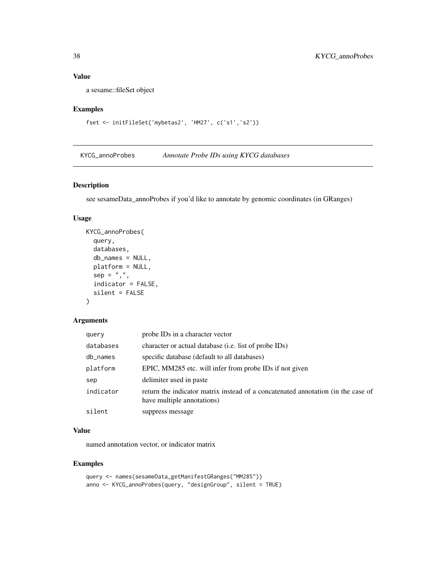# Value

a sesame::fileSet object

# Examples

```
fset <- initFileSet('mybetas2', 'HM27', c('s1','s2'))
```
KYCG\_annoProbes *Annotate Probe IDs using KYCG databases*

# Description

see sesameData\_annoProbes if you'd like to annotate by genomic coordinates (in GRanges)

# Usage

```
KYCG_annoProbes(
  query,
  databases,
 db_names = NULL,
 platform = NULL,
 sep = ","indicator = FALSE,
  silent = FALSE
\mathcal{L}
```
# Arguments

| query     | probe IDs in a character vector                                                                                |
|-----------|----------------------------------------------------------------------------------------------------------------|
| databases | character or actual database (i.e. list of probe IDs)                                                          |
| db_names  | specific database (default to all databases)                                                                   |
| platform  | EPIC, MM285 etc. will infer from probe IDs if not given                                                        |
| sep       | delimiter used in paste                                                                                        |
| indicator | return the indicator matrix instead of a concatenated annotation (in the case of<br>have multiple annotations) |
| silent    | suppress message                                                                                               |

# Value

named annotation vector, or indicator matrix

```
query <- names(sesameData_getManifestGRanges("MM285"))
anno <- KYCG_annoProbes(query, "designGroup", silent = TRUE)
```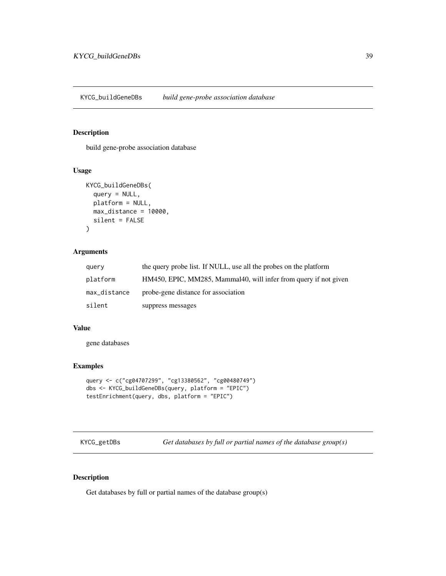KYCG\_buildGeneDBs *build gene-probe association database*

## Description

build gene-probe association database

### Usage

```
KYCG_buildGeneDBs(
  query = NULL,platform = NULL,
  max_distance = 10000,
  silent = FALSE
\mathcal{L}
```
# Arguments

| query        | the query probe list. If NULL, use all the probes on the platform |
|--------------|-------------------------------------------------------------------|
| platform     | HM450, EPIC, MM285, Mammal40, will infer from query if not given  |
| max_distance | probe-gene distance for association                               |
| silent       | suppress messages                                                 |

# Value

gene databases

## Examples

```
query <- c("cg04707299", "cg13380562", "cg00480749")
dbs <- KYCG_buildGeneDBs(query, platform = "EPIC")
testEnrichment(query, dbs, platform = "EPIC")
```
KYCG\_getDBs *Get databases by full or partial names of the database group(s)*

# Description

Get databases by full or partial names of the database group(s)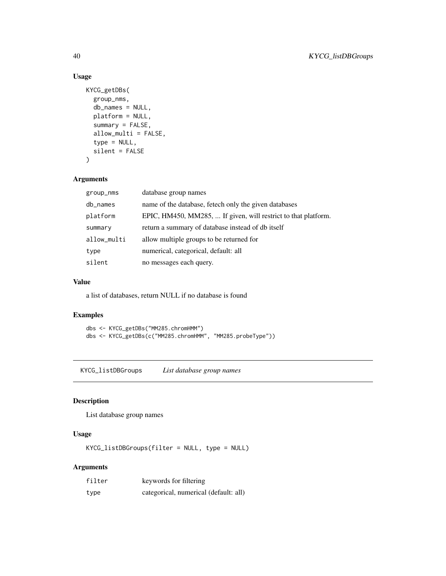# Usage

```
KYCG_getDBs(
 group_nms,
  db_names = NULL,
 platform = NULL,
  summary = FALSE,
  allow_multi = FALSE,
  type = NULL,
  silent = FALSE
)
```
# Arguments

| database group names                                           |
|----------------------------------------------------------------|
| name of the database, fetech only the given databases          |
| EPIC, HM450, MM285,  If given, will restrict to that platform. |
| return a summary of database instead of db itself              |
| allow multiple groups to be returned for                       |
| numerical, categorical, default: all                           |
| no messages each query.                                        |
|                                                                |

# Value

a list of databases, return NULL if no database is found

# Examples

```
dbs <- KYCG_getDBs("MM285.chromHMM")
dbs <- KYCG_getDBs(c("MM285.chromHMM", "MM285.probeType"))
```
KYCG\_listDBGroups *List database group names*

# Description

List database group names

## Usage

KYCG\_listDBGroups(filter = NULL, type = NULL)

# Arguments

| filter | keywords for filtering                |
|--------|---------------------------------------|
| type   | categorical, numerical (default: all) |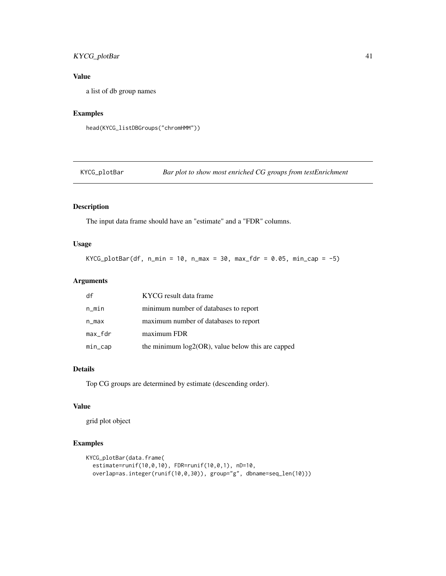# KYCG\_plotBar 41

# Value

a list of db group names

# Examples

```
head(KYCG_listDBGroups("chromHMM"))
```
KYCG\_plotBar *Bar plot to show most enriched CG groups from testEnrichment*

# Description

The input data frame should have an "estimate" and a "FDR" columns.

# Usage

KYCG\_plotBar(df, n\_min = 10, n\_max = 30, max\_fdr = 0.05, min\_cap =  $-5$ )

# Arguments

| df        | KYCG result data frame                               |
|-----------|------------------------------------------------------|
| n_min     | minimum number of databases to report                |
| $n_{max}$ | maximum number of databases to report                |
| max_fdr   | maximum FDR                                          |
| min_cap   | the minimum $log2(OR)$ , value below this are capped |

## Details

Top CG groups are determined by estimate (descending order).

# Value

grid plot object

```
KYCG_plotBar(data.frame(
  estimate=runif(10,0,10), FDR=runif(10,0,1), nD=10,
  overlap=as.integer(runif(10,0,30)), group="g", dbname=seq_len(10)))
```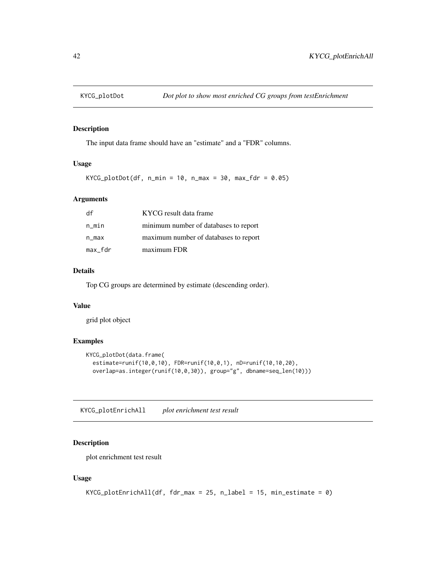The input data frame should have an "estimate" and a "FDR" columns.

# Usage

```
KYCG\_plotDot(df, n\_min = 10, n\_max = 30, max_fdr = 0.05)
```
### Arguments

| df      | KYCG result data frame                |
|---------|---------------------------------------|
| n_min   | minimum number of databases to report |
| n_max   | maximum number of databases to report |
| max_fdr | maximum FDR                           |

### Details

Top CG groups are determined by estimate (descending order).

# Value

grid plot object

## Examples

```
KYCG_plotDot(data.frame(
  estimate=runif(10,0,10), FDR=runif(10,0,1), nD=runif(10,10,20),
  overlap=as.integer(runif(10,0,30)), group="g", dbname=seq_len(10)))
```
KYCG\_plotEnrichAll *plot enrichment test result*

# Description

plot enrichment test result

### Usage

```
KYCG\_plotEnrichAll(df, fdr\_max = 25, n\_label = 15, min\_estimate = 0)
```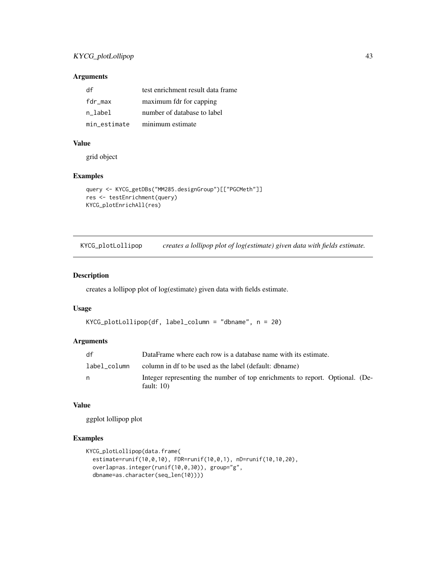# Arguments

| df           | test enrichment result data frame |
|--------------|-----------------------------------|
| fdr max      | maximum fdr for capping           |
| n label      | number of database to label       |
| min estimate | minimum estimate                  |

## Value

grid object

# Examples

```
query <- KYCG_getDBs("MM285.designGroup")[["PGCMeth"]]
res <- testEnrichment(query)
KYCG_plotEnrichAll(res)
```
KYCG\_plotLollipop *creates a lollipop plot of log(estimate) given data with fields estimate.*

# Description

creates a lollipop plot of log(estimate) given data with fields estimate.

# Usage

```
KYCG_plotLollipop(df, label_column = "dbname", n = 20)
```
### Arguments

| df           | DataFrame where each row is a database name with its estimate.                                |
|--------------|-----------------------------------------------------------------------------------------------|
| label column | column in df to be used as the label (default: dbname)                                        |
| n            | Integer representing the number of top enrichments to report. Optional. (De-<br>fault: $10$ ) |
|              |                                                                                               |

### Value

ggplot lollipop plot

```
KYCG_plotLollipop(data.frame(
  estimate=runif(10,0,10), FDR=runif(10,0,1), nD=runif(10,10,20),
  overlap=as.integer(runif(10,0,30)), group="g",
  dbname=as.character(seq_len(10))))
```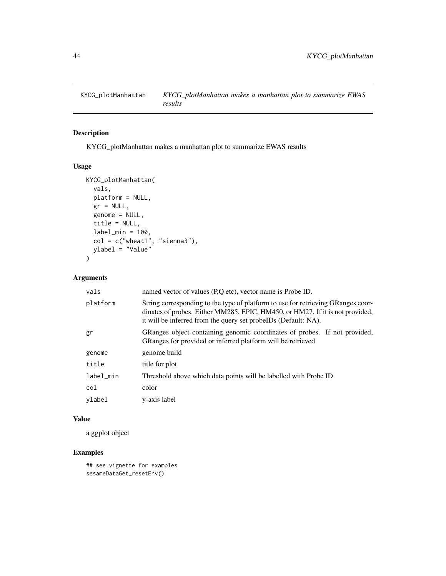KYCG\_plotManhattan makes a manhattan plot to summarize EWAS results

## Usage

```
KYCG_plotManhattan(
 vals,
 platform = NULL,
 gr = NULL,genome = NULL,
 title = NULL,
 label\_min = 100,col = c("wheel", "sienna3"),
 ylabel = "Value"
)
```
### Arguments

| vals      | named vector of values (P,Q etc), vector name is Probe ID.                                                                                                                                                                          |
|-----------|-------------------------------------------------------------------------------------------------------------------------------------------------------------------------------------------------------------------------------------|
| platform  | String corresponding to the type of platform to use for retrieving GRanges coor-<br>dinates of probes. Either MM285, EPIC, HM450, or HM27. If it is not provided,<br>it will be inferred from the query set probeIDs (Default: NA). |
| gr        | GRanges object containing genomic coordinates of probes. If not provided,<br>GRanges for provided or inferred platform will be retrieved                                                                                            |
| genome    | genome build                                                                                                                                                                                                                        |
| title     | title for plot                                                                                                                                                                                                                      |
| label_min | Threshold above which data points will be labelled with Probe ID                                                                                                                                                                    |
| col       | color                                                                                                                                                                                                                               |
| vlabel    | y-axis label                                                                                                                                                                                                                        |

## Value

a ggplot object

```
## see vignette for examples
sesameDataGet_resetEnv()
```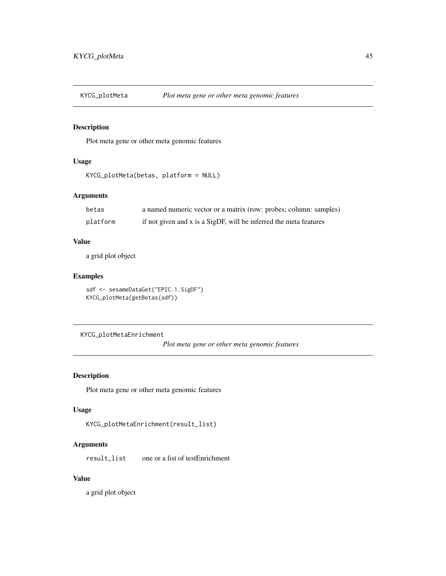Plot meta gene or other meta genomic features

## Usage

```
KYCG_plotMeta(betas, platform = NULL)
```
# Arguments

| betas    | a named numeric vector or a matrix (row: probes; column: samples) |
|----------|-------------------------------------------------------------------|
| platform | if not given and x is a SigDF, will be inferred the meta features |

### Value

a grid plot object

# Examples

```
sdf <- sesameDataGet("EPIC.1.SigDF")
KYCG_plotMeta(getBetas(sdf))
```
KYCG\_plotMetaEnrichment

*Plot meta gene or other meta genomic features*

# Description

Plot meta gene or other meta genomic features

## Usage

KYCG\_plotMetaEnrichment(result\_list)

# Arguments

result\_list one or a list of testEnrichment

# Value

a grid plot object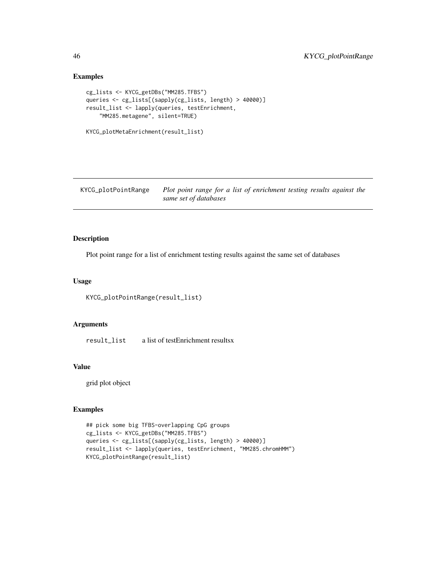# Examples

```
cg_lists <- KYCG_getDBs("MM285.TFBS")
queries <- cg_lists[(sapply(cg_lists, length) > 40000)]
result_list <- lapply(queries, testEnrichment,
    "MM285.metagene", silent=TRUE)
```

```
KYCG_plotMetaEnrichment(result_list)
```
KYCG\_plotPointRange *Plot point range for a list of enrichment testing results against the same set of databases*

## Description

Plot point range for a list of enrichment testing results against the same set of databases

## Usage

```
KYCG_plotPointRange(result_list)
```
## Arguments

result\_list a list of testEnrichment resultsx

#### Value

grid plot object

```
## pick some big TFBS-overlapping CpG groups
cg_lists <- KYCG_getDBs("MM285.TFBS")
queries <- cg_lists[(sapply(cg_lists, length) > 40000)]
result_list <- lapply(queries, testEnrichment, "MM285.chromHMM")
KYCG_plotPointRange(result_list)
```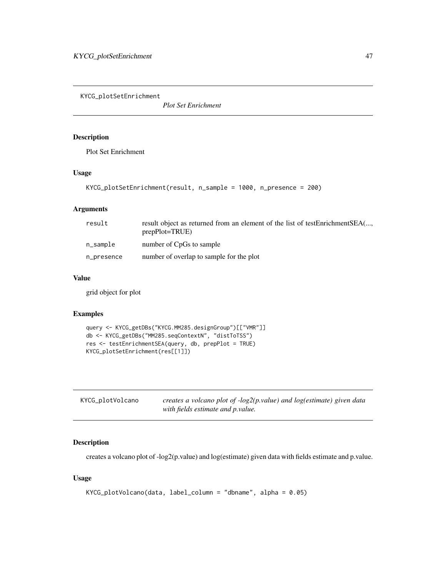KYCG\_plotSetEnrichment

*Plot Set Enrichment*

## Description

Plot Set Enrichment

## Usage

```
KYCG_plotSetEnrichment(result, n_sample = 1000, n_presence = 200)
```
# Arguments

| result     | result object as returned from an element of the list of testEnrichmentSEA(<br>$prepPlot = TRUE$ ) |
|------------|----------------------------------------------------------------------------------------------------|
| n_sample   | number of CpGs to sample                                                                           |
| n_presence | number of overlap to sample for the plot                                                           |

### Value

grid object for plot

## Examples

```
query <- KYCG_getDBs("KYCG.MM285.designGroup")[["VMR"]]
db <- KYCG_getDBs("MM285.seqContextN", "distToTSS")
res <- testEnrichmentSEA(query, db, prepPlot = TRUE)
KYCG_plotSetEnrichment(res[[1]])
```

| KYCG_plotVolcano | creates a volcano plot of -log2(p.value) and log(estimate) given data |
|------------------|-----------------------------------------------------------------------|
|                  | with fields estimate and p.value.                                     |

# Description

creates a volcano plot of -log2(p.value) and log(estimate) given data with fields estimate and p.value.

### Usage

```
KYCG_plotVolcano(data, label_column = "dbname", alpha = 0.05)
```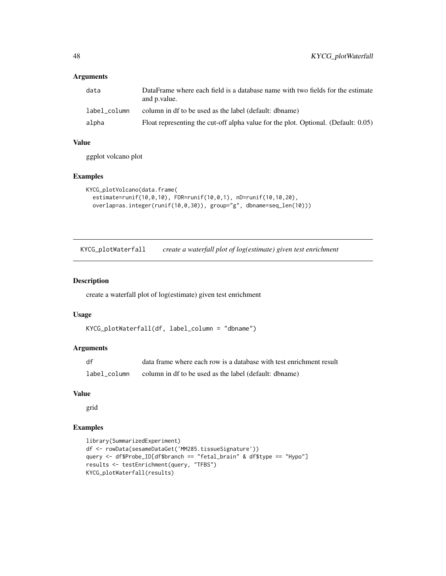# Arguments

| data         | DataFrame where each field is a database name with two fields for the estimate<br>and p.value. |
|--------------|------------------------------------------------------------------------------------------------|
| label column | column in df to be used as the label (default: dbname)                                         |
| alpha        | Float representing the cut-off alpha value for the plot. Optional. (Default: 0.05)             |

# Value

ggplot volcano plot

## Examples

```
KYCG_plotVolcano(data.frame(
  estimate=runif(10,0,10), FDR=runif(10,0,1), nD=runif(10,10,20),
  overlap=as.integer(runif(10,0,30)), group="g", dbname=seq_len(10)))
```
KYCG\_plotWaterfall *create a waterfall plot of log(estimate) given test enrichment*

## Description

create a waterfall plot of log(estimate) given test enrichment

### Usage

```
KYCG_plotWaterfall(df, label_column = "dbname")
```
# Arguments

| df           | data frame where each row is a database with test enrichment result |
|--------------|---------------------------------------------------------------------|
| label column | column in df to be used as the label (default: dbname)              |

#### Value

grid

```
library(SummarizedExperiment)
df <- rowData(sesameDataGet('MM285.tissueSignature'))
query <- df$Probe_ID[df$branch == "fetal_brain" & df$type == "Hypo"]
results <- testEnrichment(query, "TFBS")
KYCG_plotWaterfall(results)
```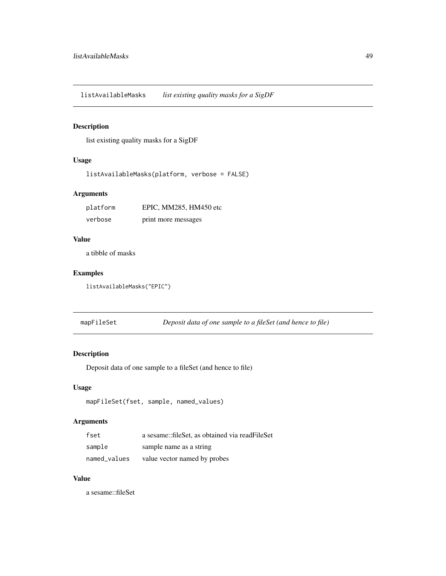listAvailableMasks *list existing quality masks for a SigDF*

# Description

list existing quality masks for a SigDF

# Usage

```
listAvailableMasks(platform, verbose = FALSE)
```
# Arguments

| platform | EPIC, MM285, HM450 etc |
|----------|------------------------|
| verbose  | print more messages    |

## Value

a tibble of masks

## Examples

listAvailableMasks("EPIC")

mapFileSet *Deposit data of one sample to a fileSet (and hence to file)*

# Description

Deposit data of one sample to a fileSet (and hence to file)

### Usage

```
mapFileSet(fset, sample, named_values)
```
# Arguments

| fset         | a sesame::fileSet, as obtained via readFileSet |
|--------------|------------------------------------------------|
| sample       | sample name as a string                        |
| named values | value vector named by probes                   |

# Value

a sesame::fileSet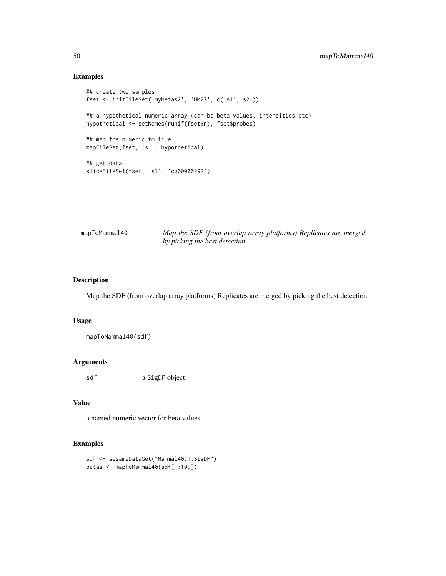# Examples

```
## create two samples
fset <- initFileSet('mybetas2', 'HM27', c('s1','s2'))
## a hypothetical numeric array (can be beta values, intensities etc)
hypothetical <- setNames(runif(fset$n), fset$probes)
## map the numeric to file
mapFileSet(fset, 's1', hypothetical)
## get data
sliceFileSet(fset, 's1', 'cg00000292')
```

| mapToMammal40 | Map the SDF (from overlap array platforms) Replicates are merged |
|---------------|------------------------------------------------------------------|
|               | by picking the best detection                                    |

# Description

Map the SDF (from overlap array platforms) Replicates are merged by picking the best detection

### Usage

mapToMammal40(sdf)

### Arguments

sdf a SigDF object

### Value

a named numeric vector for beta values

```
sdf <- sesameDataGet("Mammal40.1.SigDF")
betas <- mapToMammal40(sdf[1:10,])
```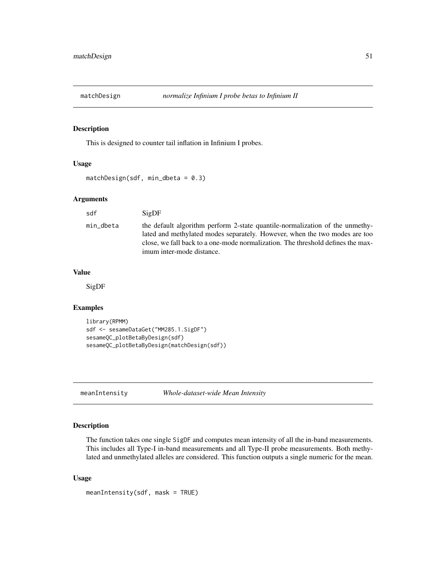This is designed to counter tail inflation in Infinium I probes.

## Usage

```
matchDesign(sdf, min_dbeta = 0.3)
```
### Arguments

sdf SigDF min\_dbeta the default algorithm perform 2-state quantile-normalization of the unmethylated and methylated modes separately. However, when the two modes are too close, we fall back to a one-mode normalization. The threshold defines the maximum inter-mode distance.

### Value

SigDF

# Examples

```
library(RPMM)
sdf <- sesameDataGet("MM285.1.SigDF")
sesameQC_plotBetaByDesign(sdf)
sesameQC_plotBetaByDesign(matchDesign(sdf))
```
meanIntensity *Whole-dataset-wide Mean Intensity*

## Description

The function takes one single SigDF and computes mean intensity of all the in-band measurements. This includes all Type-I in-band measurements and all Type-II probe measurements. Both methylated and unmethylated alleles are considered. This function outputs a single numeric for the mean.

### Usage

```
meanIntensity(sdf, mask = TRUE)
```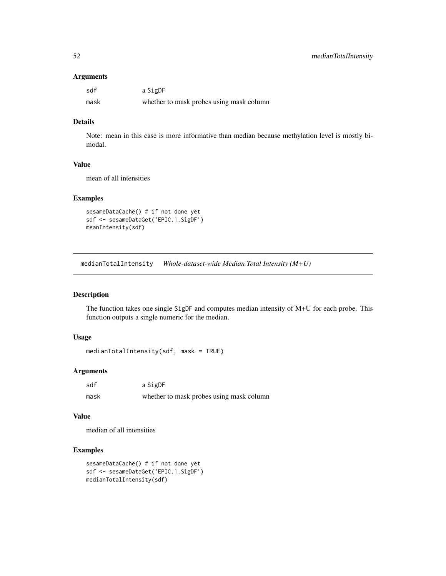### Arguments

| sdf  | a SigDF                                  |
|------|------------------------------------------|
| mask | whether to mask probes using mask column |

# Details

Note: mean in this case is more informative than median because methylation level is mostly bimodal.

## Value

mean of all intensities

## Examples

```
sesameDataCache() # if not done yet
sdf <- sesameDataGet('EPIC.1.SigDF')
meanIntensity(sdf)
```
medianTotalIntensity *Whole-dataset-wide Median Total Intensity (M+U)*

# Description

The function takes one single SigDF and computes median intensity of M+U for each probe. This function outputs a single numeric for the median.

### Usage

```
medianTotalIntensity(sdf, mask = TRUE)
```
## Arguments

| sdf  | a SigDF                                  |
|------|------------------------------------------|
| mask | whether to mask probes using mask column |

# Value

median of all intensities

```
sesameDataCache() # if not done yet
sdf <- sesameDataGet('EPIC.1.SigDF')
medianTotalIntensity(sdf)
```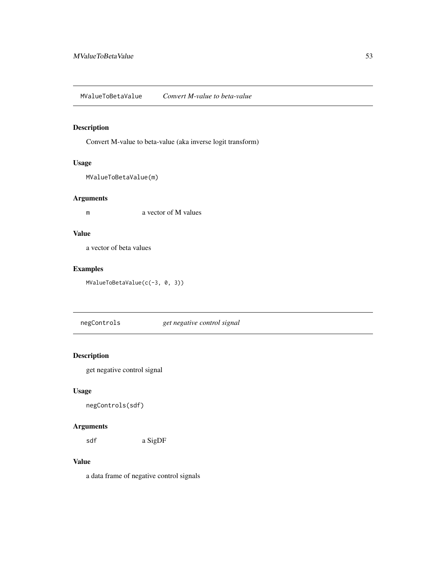MValueToBetaValue *Convert M-value to beta-value*

# Description

Convert M-value to beta-value (aka inverse logit transform)

# Usage

```
MValueToBetaValue(m)
```
# Arguments

m a vector of M values

# Value

a vector of beta values

# Examples

MValueToBetaValue(c(-3, 0, 3))

negControls *get negative control signal*

# Description

get negative control signal

## Usage

negControls(sdf)

# Arguments

sdf a SigDF

# Value

a data frame of negative control signals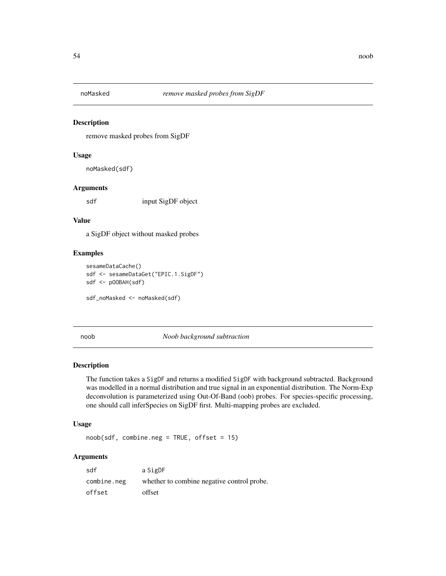remove masked probes from SigDF

### Usage

noMasked(sdf)

# Arguments

sdf input SigDF object

## Value

a SigDF object without masked probes

### Examples

```
sesameDataCache()
sdf <- sesameDataGet("EPIC.1.SigDF")
sdf <- pOOBAH(sdf)
sdf_noMasked <- noMasked(sdf)
```
noob *Noob background subtraction*

## Description

The function takes a SigDF and returns a modified SigDF with background subtracted. Background was modelled in a normal distribution and true signal in an exponential distribution. The Norm-Exp deconvolution is parameterized using Out-Of-Band (oob) probes. For species-specific processing, one should call inferSpecies on SigDF first. Multi-mapping probes are excluded.

### Usage

 $noob(sdf, combine.neg = TRUE, offset = 15)$ 

### Arguments

| sdf         | a SigDF                                    |
|-------------|--------------------------------------------|
| combine.neg | whether to combine negative control probe. |
| offset      | offset                                     |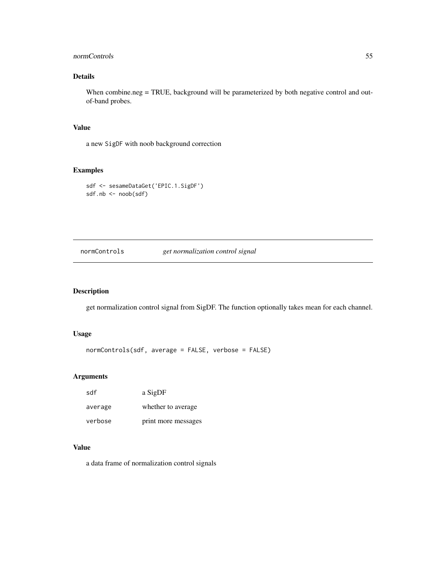# normControls 55

# Details

When combine.neg = TRUE, background will be parameterized by both negative control and outof-band probes.

# Value

a new SigDF with noob background correction

# Examples

```
sdf <- sesameDataGet('EPIC.1.SigDF')
sdf.nb <- noob(sdf)
```
normControls *get normalization control signal*

# Description

get normalization control signal from SigDF. The function optionally takes mean for each channel.

### Usage

normControls(sdf, average = FALSE, verbose = FALSE)

## Arguments

| sdf     | a SigDF             |
|---------|---------------------|
| average | whether to average. |
| verbose | print more messages |

### Value

a data frame of normalization control signals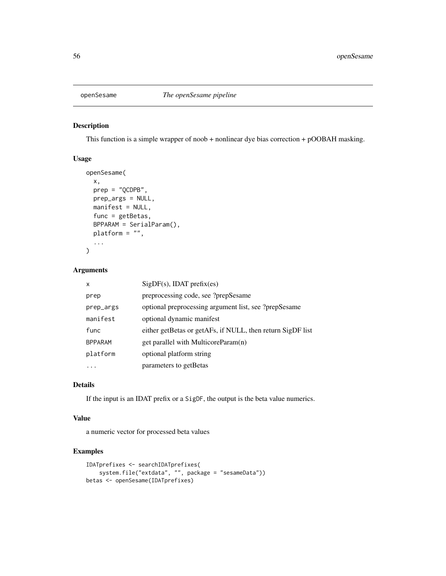This function is a simple wrapper of noob + nonlinear dye bias correction + pOOBAH masking.

# Usage

```
openSesame(
 x,
 prep = "QCDPB",
 prep_args = NULL,
 manifest = NULL,
 func = getBetas,
 BPPARAM = SerialParam(),
 platform = ",
  ...
)
```
### Arguments

| x              | $SigDF(s)$ , IDAT prefix(es)                               |
|----------------|------------------------------------------------------------|
| prep           | preprocessing code, see ?prepSesame                        |
| prep_args      | optional preprocessing argument list, see ?prepSesame      |
| manifest       | optional dynamic manifest                                  |
| func           | either getBetas or getAFs, if NULL, then return SigDF list |
| <b>BPPARAM</b> | get parallel with MulticoreParam(n)                        |
| platform       | optional platform string                                   |
|                | parameters to getBetas                                     |

# Details

If the input is an IDAT prefix or a SigDF, the output is the beta value numerics.

## Value

a numeric vector for processed beta values

```
IDATprefixes <- searchIDATprefixes(
    system.file("extdata", "", package = "sesameData"))
betas <- openSesame(IDATprefixes)
```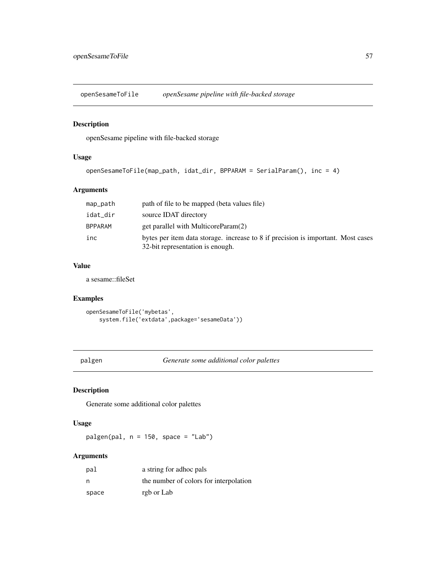openSesameToFile *openSesame pipeline with file-backed storage*

# Description

openSesame pipeline with file-backed storage

# Usage

```
openSesameToFile(map_path, idat_dir, BPPARAM = SerialParam(), inc = 4)
```
# Arguments

| map_path       | path of file to be mapped (beta values file)                                                                         |
|----------------|----------------------------------------------------------------------------------------------------------------------|
| idat_dir       | source IDAT directory                                                                                                |
| <b>BPPARAM</b> | get parallel with MulticoreParam(2)                                                                                  |
| inc            | bytes per item data storage. increase to 8 if precision is important. Most cases<br>32-bit representation is enough. |

## Value

a sesame::fileSet

# Examples

```
openSesameToFile('mybetas',
    system.file('extdata',package='sesameData'))
```
palgen *Generate some additional color palettes*

# Description

Generate some additional color palettes

## Usage

 $palign(pal, n = 150, space = "Lab")$ 

# Arguments

| pal   | a string for adhoc pals                |
|-------|----------------------------------------|
| n     | the number of colors for interpolation |
| space | rgb or Lab                             |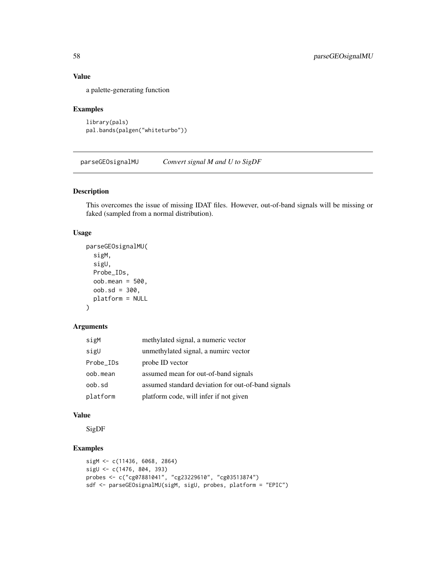# Value

a palette-generating function

# Examples

```
library(pals)
pal.bands(palgen("whiteturbo"))
```
parseGEOsignalMU *Convert signal M and U to SigDF*

## Description

This overcomes the issue of missing IDAT files. However, out-of-band signals will be missing or faked (sampled from a normal distribution).

# Usage

```
parseGEOsignalMU(
  sigM,
  sigU,
 Probe_IDs,
  oob.mean = 500,
 oob.sd = 300,platform = NULL
)
```
### Arguments

| sigM      | methylated signal, a numeric vector                |
|-----------|----------------------------------------------------|
| sigU      | unmethylated signal, a numirc vector               |
| Probe_IDs | probe ID vector                                    |
| oob.mean  | assumed mean for out-of-band signals               |
| oob.sd    | assumed standard deviation for out-of-band signals |
| platform  | platform code, will infer if not given             |

### Value

SigDF

```
sigM <- c(11436, 6068, 2864)
sigU <- c(1476, 804, 393)
probes <- c("cg07881041", "cg23229610", "cg03513874")
sdf <- parseGEOsignalMU(sigM, sigU, probes, platform = "EPIC")
```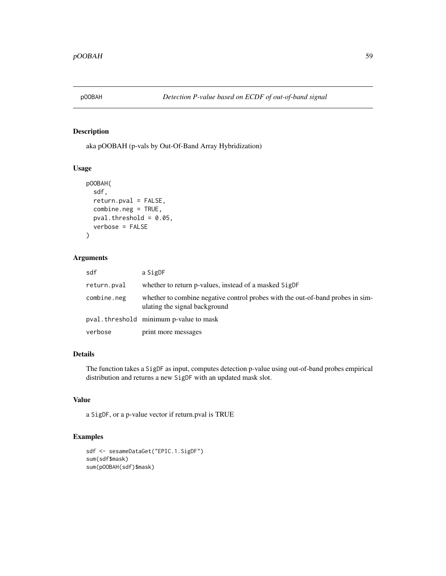aka pOOBAH (p-vals by Out-Of-Band Array Hybridization)

# Usage

```
pOOBAH(
  sdf,
  return.pval = FALSE,
  combine.neg = TRUE,
 pval.threshold = 0.05,
  verbose = FALSE
)
```
# Arguments

| sdf         | a SigDF                                                                                                         |
|-------------|-----------------------------------------------------------------------------------------------------------------|
| return.pval | whether to return p-values, instead of a masked SigDF                                                           |
| combine.neg | whether to combine negative control probes with the out-of-band probes in sim-<br>ulating the signal background |
|             | pval. threshold minimum p-value to mask                                                                         |
| verbose     | print more messages                                                                                             |

# Details

The function takes a SigDF as input, computes detection p-value using out-of-band probes empirical distribution and returns a new SigDF with an updated mask slot.

# Value

a SigDF, or a p-value vector if return.pval is TRUE

```
sdf <- sesameDataGet("EPIC.1.SigDF")
sum(sdf$mask)
sum(pOOBAH(sdf)$mask)
```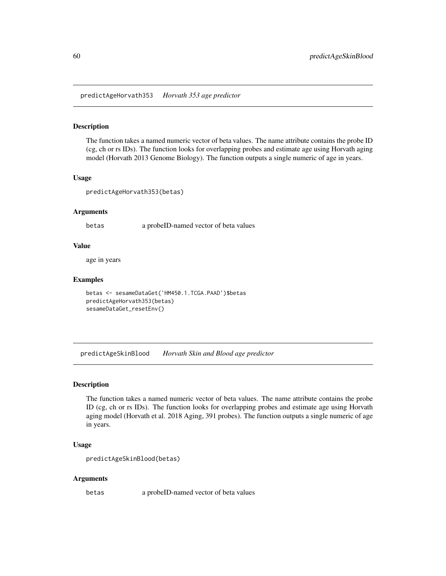predictAgeHorvath353 *Horvath 353 age predictor*

### Description

The function takes a named numeric vector of beta values. The name attribute contains the probe ID (cg, ch or rs IDs). The function looks for overlapping probes and estimate age using Horvath aging model (Horvath 2013 Genome Biology). The function outputs a single numeric of age in years.

### Usage

predictAgeHorvath353(betas)

# Arguments

betas a probeID-named vector of beta values

#### Value

age in years

# Examples

```
betas <- sesameDataGet('HM450.1.TCGA.PAAD')$betas
predictAgeHorvath353(betas)
sesameDataGet_resetEnv()
```
predictAgeSkinBlood *Horvath Skin and Blood age predictor*

## Description

The function takes a named numeric vector of beta values. The name attribute contains the probe ID (cg, ch or rs IDs). The function looks for overlapping probes and estimate age using Horvath aging model (Horvath et al. 2018 Aging, 391 probes). The function outputs a single numeric of age in years.

### Usage

```
predictAgeSkinBlood(betas)
```
#### Arguments

betas a probeID-named vector of beta values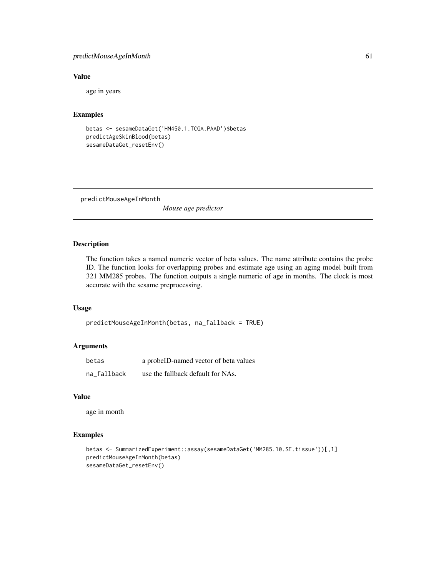# predictMouseAgeInMonth 61

# Value

age in years

### Examples

```
betas <- sesameDataGet('HM450.1.TCGA.PAAD')$betas
predictAgeSkinBlood(betas)
sesameDataGet_resetEnv()
```
predictMouseAgeInMonth

*Mouse age predictor*

# Description

The function takes a named numeric vector of beta values. The name attribute contains the probe ID. The function looks for overlapping probes and estimate age using an aging model built from 321 MM285 probes. The function outputs a single numeric of age in months. The clock is most accurate with the sesame preprocessing.

# Usage

```
predictMouseAgeInMonth(betas, na_fallback = TRUE)
```
# Arguments

| betas       | a probeID-named vector of beta values |
|-------------|---------------------------------------|
| na_fallback | use the fallback default for NAs.     |

### Value

age in month

```
betas <- SummarizedExperiment::assay(sesameDataGet('MM285.10.SE.tissue'))[,1]
predictMouseAgeInMonth(betas)
sesameDataGet_resetEnv()
```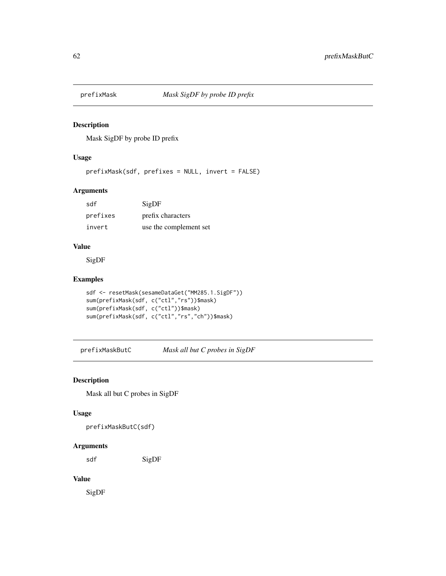Mask SigDF by probe ID prefix

### Usage

prefixMask(sdf, prefixes = NULL, invert = FALSE)

# Arguments

| sdf      | SigDF                  |
|----------|------------------------|
| prefixes | prefix characters      |
| invert   | use the complement set |

## Value

SigDF

# Examples

```
sdf <- resetMask(sesameDataGet("MM285.1.SigDF"))
sum(prefixMask(sdf, c("ctl","rs"))$mask)
sum(prefixMask(sdf, c("ctl"))$mask)
sum(prefixMask(sdf, c("ctl","rs","ch"))$mask)
```
prefixMaskButC *Mask all but C probes in SigDF*

# Description

Mask all but C probes in SigDF

### Usage

prefixMaskButC(sdf)

# Arguments

sdf SigDF

# Value

SigDF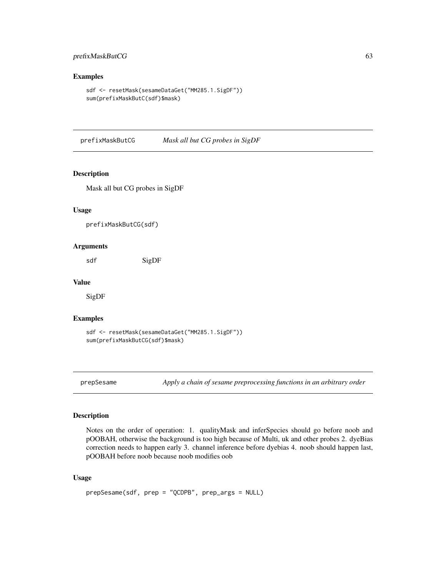# prefixMaskButCG 63

### Examples

```
sdf <- resetMask(sesameDataGet("MM285.1.SigDF"))
sum(prefixMaskButC(sdf)$mask)
```
prefixMaskButCG *Mask all but CG probes in SigDF*

## Description

Mask all but CG probes in SigDF

### Usage

prefixMaskButCG(sdf)

### Arguments

sdf SigDF

#### Value

SigDF

#### Examples

```
sdf <- resetMask(sesameDataGet("MM285.1.SigDF"))
sum(prefixMaskButCG(sdf)$mask)
```
prepSesame *Apply a chain of sesame preprocessing functions in an arbitrary order*

# Description

Notes on the order of operation: 1. qualityMask and inferSpecies should go before noob and pOOBAH, otherwise the background is too high because of Multi, uk and other probes 2. dyeBias correction needs to happen early 3. channel inference before dyebias 4. noob should happen last, pOOBAH before noob because noob modifies oob

### Usage

```
prepSesame(sdf, prep = "QCDPB", prep_args = NULL)
```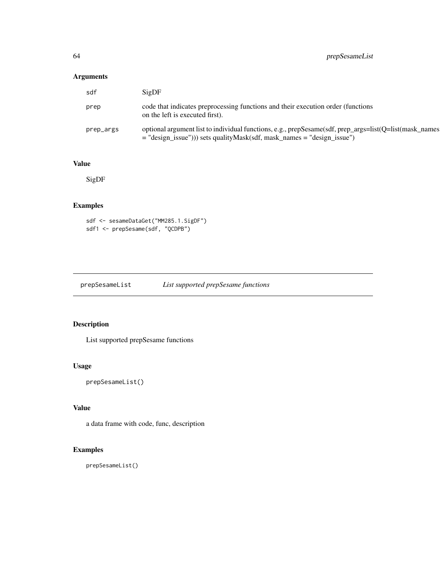# Arguments

| sdf       | SigDF                                                                                                                                                                              |
|-----------|------------------------------------------------------------------------------------------------------------------------------------------------------------------------------------|
| prep      | code that indicates preprocessing functions and their execution order (functions)<br>on the left is executed first).                                                               |
| prep_args | optional argument list to individual functions, e.g., prepSesame(sdf, prep_args=list(Q=list(mask_names<br>$=$ "design_issue"))) sets qualityMask(sdf, mask_names = "design_issue") |

# Value

SigDF

# Examples

sdf <- sesameDataGet("MM285.1.SigDF") sdf1 <- prepSesame(sdf, "QCDPB")

prepSesameList *List supported prepSesame functions*

# Description

List supported prepSesame functions

### Usage

```
prepSesameList()
```
# Value

a data frame with code, func, description

# Examples

prepSesameList()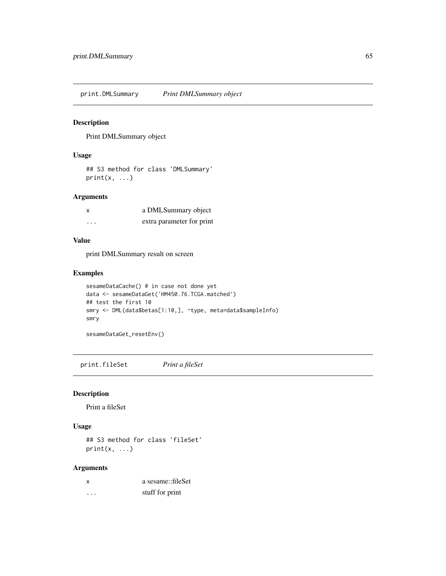print.DMLSummary *Print DMLSummary object*

### Description

Print DMLSummary object

# Usage

## S3 method for class 'DMLSummary'  $print(x, \ldots)$ 

## Arguments

| X | a DMLSummary object       |
|---|---------------------------|
| . | extra parameter for print |

### Value

print DMLSummary result on screen

### Examples

```
sesameDataCache() # in case not done yet
data <- sesameDataGet('HM450.76.TCGA.matched')
## test the first 10
smry <- DML(data$betas[1:10,], ~type, meta=data$sampleInfo)
smry
```
sesameDataGet\_resetEnv()

print.fileSet *Print a fileSet*

## Description

Print a fileSet

### Usage

## S3 method for class 'fileSet'  $print(x, \ldots)$ 

# Arguments

| x | a sesame::fileSet |
|---|-------------------|
| . | stuff for print   |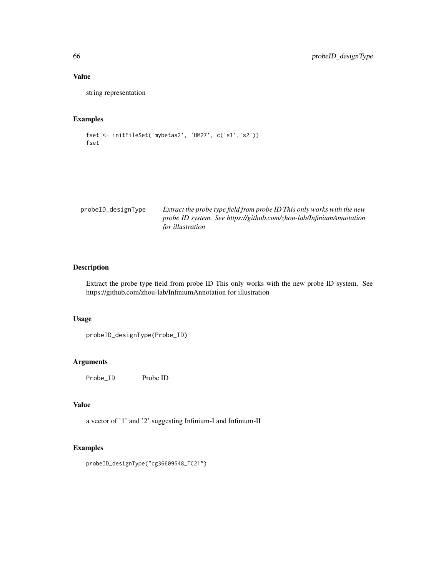# Value

string representation

# Examples

```
fset <- initFileSet('mybetas2', 'HM27', c('s1','s2'))
fset
```

| probeID_designType | Extract the probe type field from probe ID This only works with the new |
|--------------------|-------------------------------------------------------------------------|
|                    | probe ID system. See https://github.com/zhou-lab/InfiniumAnnotation     |
|                    | <i>for illustration</i>                                                 |

# Description

Extract the probe type field from probe ID This only works with the new probe ID system. See https://github.com/zhou-lab/InfiniumAnnotation for illustration

## Usage

probeID\_designType(Probe\_ID)

### Arguments

Probe\_ID Probe ID

# Value

a vector of '1' and '2' suggesting Infinium-I and Infinium-II

# Examples

probeID\_designType("cg36609548\_TC21")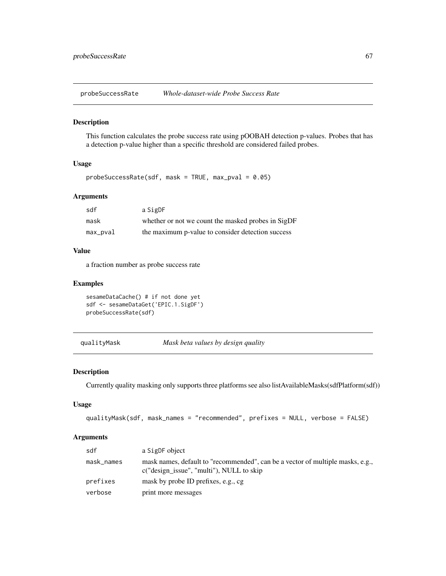probeSuccessRate *Whole-dataset-wide Probe Success Rate*

### Description

This function calculates the probe success rate using pOOBAH detection p-values. Probes that has a detection p-value higher than a specific threshold are considered failed probes.

# Usage

```
probeSuccessRate(sdf, mask = TRUE, max_pval = 0.05)
```
# Arguments

| sdf      | a SigDF                                            |
|----------|----------------------------------------------------|
| mask     | whether or not we count the masked probes in SigDF |
| max_pval | the maximum p-value to consider detection success  |

## Value

a fraction number as probe success rate

### Examples

```
sesameDataCache() # if not done yet
sdf <- sesameDataGet('EPIC.1.SigDF')
probeSuccessRate(sdf)
```

```
qualityMask Mask beta values by design quality
```
## Description

Currently quality masking only supports three platforms see also listAvailableMasks(sdfPlatform(sdf))

## Usage

```
qualityMask(sdf, mask_names = "recommended", prefixes = NULL, verbose = FALSE)
```
#### Arguments

| sdf        | a SigDF object                                                                                                             |
|------------|----------------------------------------------------------------------------------------------------------------------------|
| mask_names | mask names, default to "recommended", can be a vector of multiple masks, e.g.,<br>c("design_issue", "multi"), NULL to skip |
| prefixes   | mask by probe ID prefixes, e.g., cg.                                                                                       |
| verbose    | print more messages                                                                                                        |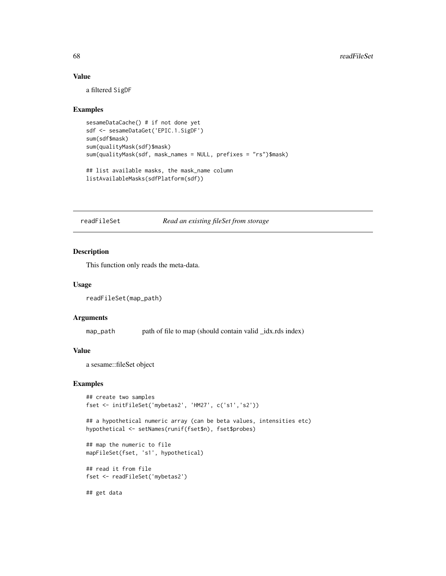### Value

a filtered SigDF

### Examples

```
sesameDataCache() # if not done yet
sdf <- sesameDataGet('EPIC.1.SigDF')
sum(sdf$mask)
sum(qualityMask(sdf)$mask)
sum(qualityMask(sdf, mask_names = NULL, prefixes = "rs")$mask)
## list available masks, the mask_name column
listAvailableMasks(sdfPlatform(sdf))
```
## readFileSet *Read an existing fileSet from storage*

## Description

This function only reads the meta-data.

## Usage

```
readFileSet(map_path)
```
#### Arguments

map\_path path of file to map (should contain valid \_idx.rds index)

### Value

a sesame::fileSet object

## Examples

```
## create two samples
fset <- initFileSet('mybetas2', 'HM27', c('s1','s2'))
```
## a hypothetical numeric array (can be beta values, intensities etc) hypothetical <- setNames(runif(fset\$n), fset\$probes)

## map the numeric to file mapFileSet(fset, 's1', hypothetical)

## read it from file fset <- readFileSet('mybetas2')

## get data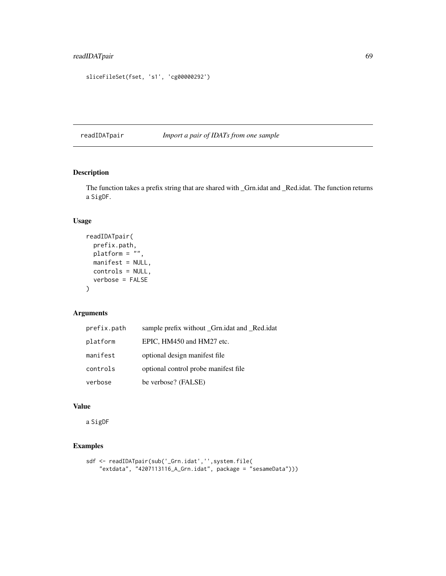```
sliceFileSet(fset, 's1', 'cg00000292')
```
readIDATpair *Import a pair of IDATs from one sample*

# Description

The function takes a prefix string that are shared with \_Grn.idat and \_Red.idat. The function returns a SigDF.

### Usage

```
readIDATpair(
  prefix.path,
  platform = \frac{1}{n},
  manifest = NULL,
  controls = NULL,
  verbose = FALSE
)
```
# Arguments

| prefix.path | sample prefix without _Grn.idat and _Red.idat |
|-------------|-----------------------------------------------|
| platform    | EPIC, HM450 and HM27 etc.                     |
| manifest    | optional design manifest file.                |
| controls    | optional control probe manifest file.         |
| verbose     | be verbose? (FALSE)                           |

# Value

a SigDF

```
sdf <- readIDATpair(sub('_Grn.idat','',system.file(
    "extdata", "4207113116_A_Grn.idat", package = "sesameData")))
```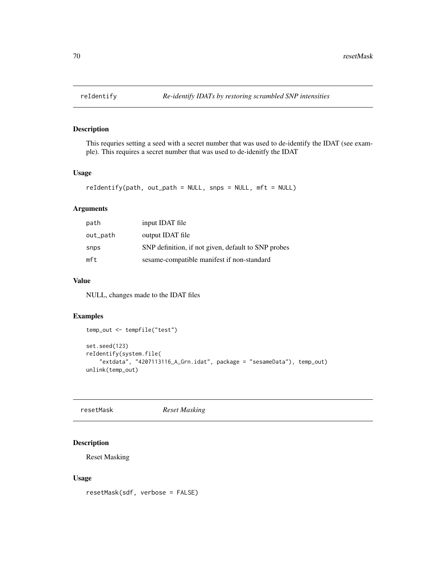This requries setting a seed with a secret number that was used to de-identify the IDAT (see example). This requires a secret number that was used to de-idenitfy the IDAT

# Usage

```
reIdentify(path, out_path = NULL, snps = NULL, mft = NULL)
```
# Arguments

| path     | input IDAT file                                     |
|----------|-----------------------------------------------------|
| out_path | output IDAT file                                    |
| snps     | SNP definition, if not given, default to SNP probes |
| mft      | sesame-compatible manifest if non-standard          |

# Value

NULL, changes made to the IDAT files

# Examples

```
temp_out <- tempfile("test")
set.seed(123)
reIdentify(system.file(
    "extdata", "4207113116_A_Grn.idat", package = "sesameData"), temp_out)
unlink(temp_out)
```
resetMask *Reset Masking*

# Description

Reset Masking

#### Usage

resetMask(sdf, verbose = FALSE)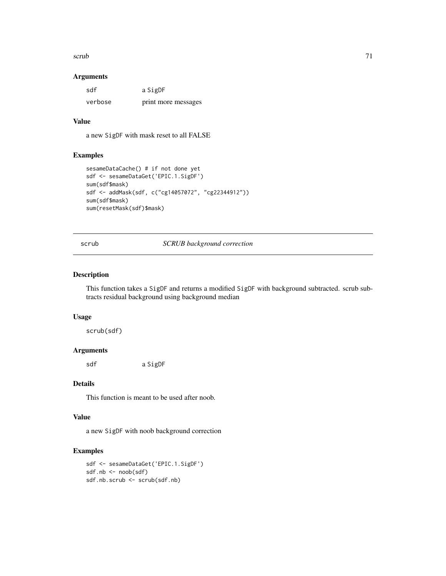$scrub$  71

### Arguments

| sdf     | a SigDF             |
|---------|---------------------|
| verbose | print more messages |

## Value

a new SigDF with mask reset to all FALSE

# Examples

```
sesameDataCache() # if not done yet
sdf <- sesameDataGet('EPIC.1.SigDF')
sum(sdf$mask)
sdf <- addMask(sdf, c("cg14057072", "cg22344912"))
sum(sdf$mask)
sum(resetMask(sdf)$mask)
```
scrub *SCRUB background correction*

### Description

This function takes a SigDF and returns a modified SigDF with background subtracted. scrub subtracts residual background using background median

#### Usage

scrub(sdf)

### Arguments

sdf a SigDF

## Details

This function is meant to be used after noob.

## Value

a new SigDF with noob background correction

```
sdf <- sesameDataGet('EPIC.1.SigDF')
sdf.nb <- noob(sdf)
sdf.nb.scrub <- scrub(sdf.nb)
```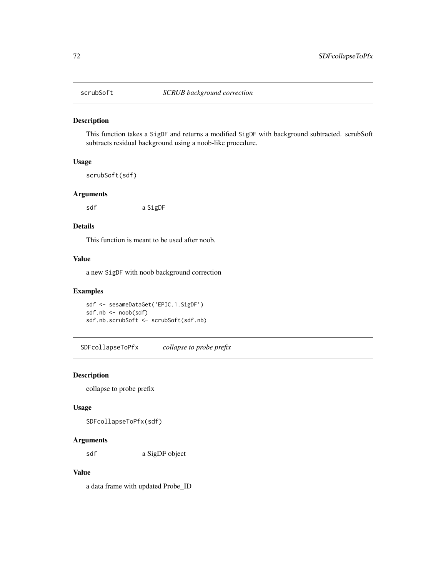This function takes a SigDF and returns a modified SigDF with background subtracted. scrubSoft subtracts residual background using a noob-like procedure.

## Usage

scrubSoft(sdf)

#### Arguments

sdf a SigDF

#### Details

This function is meant to be used after noob.

#### Value

a new SigDF with noob background correction

### Examples

sdf <- sesameDataGet('EPIC.1.SigDF') sdf.nb <- noob(sdf) sdf.nb.scrubSoft <- scrubSoft(sdf.nb)

SDFcollapseToPfx *collapse to probe prefix*

# Description

collapse to probe prefix

## Usage

SDFcollapseToPfx(sdf)

### Arguments

sdf a SigDF object

## Value

a data frame with updated Probe\_ID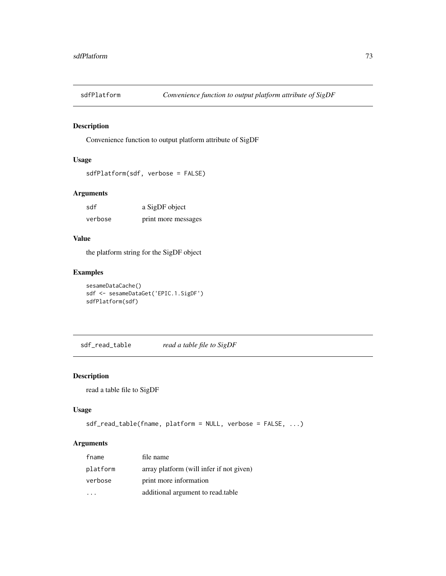<span id="page-72-0"></span>

Convenience function to output platform attribute of SigDF

# Usage

```
sdfPlatform(sdf, verbose = FALSE)
```
#### Arguments

| sdf     | a SigDF object      |
|---------|---------------------|
| verbose | print more messages |

#### Value

the platform string for the SigDF object

# Examples

```
sesameDataCache()
sdf <- sesameDataGet('EPIC.1.SigDF')
sdfPlatform(sdf)
```
sdf\_read\_table *read a table file to SigDF*

# Description

read a table file to SigDF

### Usage

```
sdf_read_table(fname, platform = NULL, verbose = FALSE, ...)
```
# Arguments

| fname    | file name                                |
|----------|------------------------------------------|
| platform | array platform (will infer if not given) |
| verbose  | print more information                   |
|          | additional argument to read.table        |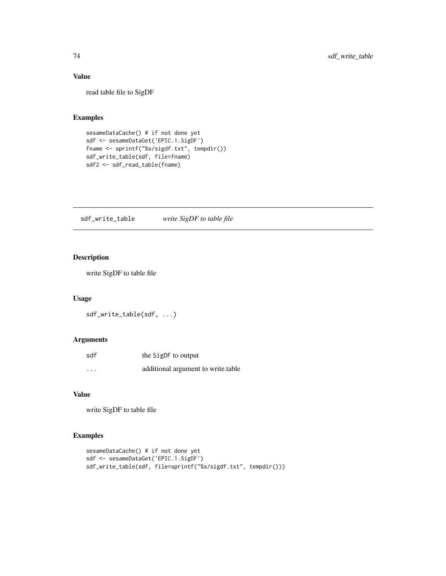# Value

read table file to SigDF

# Examples

```
sesameDataCache() # if not done yet
sdf <- sesameDataGet('EPIC.1.SigDF')
fname <- sprintf("%s/sigdf.txt", tempdir())
sdf_write_table(sdf, file=fname)
sdf2 <- sdf_read_table(fname)
```
sdf\_write\_table *write SigDF to table file*

# Description

write SigDF to table file

## Usage

sdf\_write\_table(sdf, ...)

# Arguments

| sdf | the SigDF to output                |
|-----|------------------------------------|
| .   | additional argument to write table |

## Value

write SigDF to table file

```
sesameDataCache() # if not done yet
sdf <- sesameDataGet('EPIC.1.SigDF')
sdf_write_table(sdf, file=sprintf("%s/sigdf.txt", tempdir()))
```
<span id="page-73-0"></span>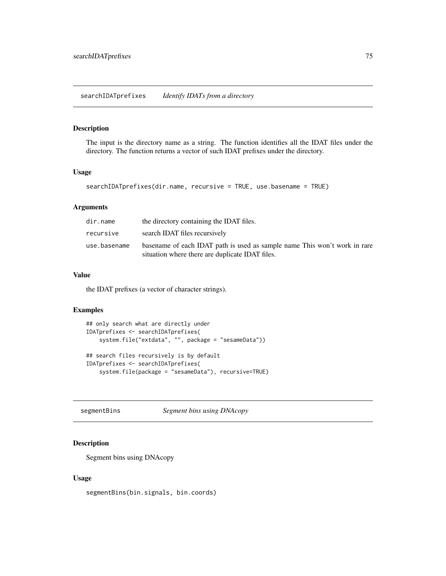<span id="page-74-0"></span>The input is the directory name as a string. The function identifies all the IDAT files under the directory. The function returns a vector of such IDAT prefixes under the directory.

#### Usage

```
searchIDATprefixes(dir.name, recursive = TRUE, use.basename = TRUE)
```
#### Arguments

| dir.name     | the directory containing the IDAT files.                                                                                     |
|--------------|------------------------------------------------------------------------------------------------------------------------------|
| recursive    | search IDAT files recursively                                                                                                |
| use.basename | basename of each IDAT path is used as sample name This won't work in rare<br>situation where there are duplicate IDAT files. |

# Value

the IDAT prefixes (a vector of character strings).

#### Examples

```
## only search what are directly under
IDATprefixes <- searchIDATprefixes(
   system.file("extdata", "", package = "sesameData"))
## search files recursively is by default
IDATprefixes <- searchIDATprefixes(
   system.file(package = "sesameData"), recursive=TRUE)
```
segmentBins *Segment bins using DNAcopy*

## Description

Segment bins using DNAcopy

#### Usage

segmentBins(bin.signals, bin.coords)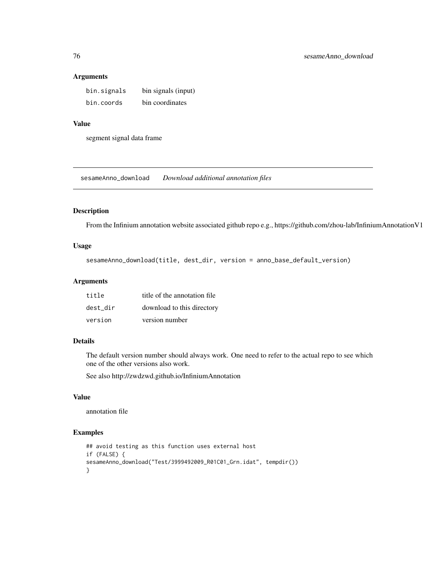#### Arguments

| bin.signals | bin signals (input) |
|-------------|---------------------|
| bin.coords  | bin coordinates     |

# Value

segment signal data frame

sesameAnno\_download *Download additional annotation files*

#### Description

From the Infinium annotation website associated github repo e.g., https://github.com/zhou-lab/InfiniumAnnotationV1

#### Usage

```
sesameAnno_download(title, dest_dir, version = anno_base_default_version)
```
## Arguments

| title    | title of the annotation file |
|----------|------------------------------|
| dest dir | download to this directory   |
| version  | version number               |

## Details

The default version number should always work. One need to refer to the actual repo to see which one of the other versions also work.

See also http://zwdzwd.github.io/InfiniumAnnotation

## Value

annotation file

```
## avoid testing as this function uses external host
if (FALSE) {
sesameAnno_download("Test/3999492009_R01C01_Grn.idat", tempdir())
}
```
<span id="page-75-0"></span>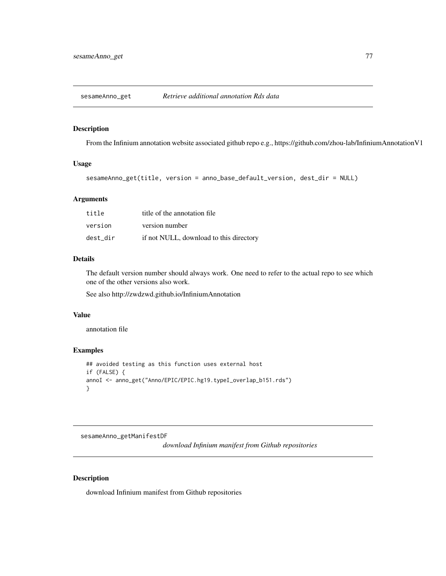<span id="page-76-0"></span>sesameAnno\_get *Retrieve additional annotation Rds data*

## Description

From the Infinium annotation website associated github repo e.g., https://github.com/zhou-lab/InfiniumAnnotationV1

## Usage

```
sesameAnno_get(title, version = anno_base_default_version, dest_dir = NULL)
```
#### **Arguments**

| title    | title of the annotation file            |
|----------|-----------------------------------------|
| version  | version number                          |
| dest dir | if not NULL, download to this directory |

#### Details

The default version number should always work. One need to refer to the actual repo to see which one of the other versions also work.

See also http://zwdzwd.github.io/InfiniumAnnotation

#### Value

annotation file

#### Examples

```
## avoided testing as this function uses external host
if (FALSE) {
annoI <- anno_get("Anno/EPIC/EPIC.hg19.typeI_overlap_b151.rds")
}
```
sesameAnno\_getManifestDF

*download Infinium manifest from Github repositories*

#### Description

download Infinium manifest from Github repositories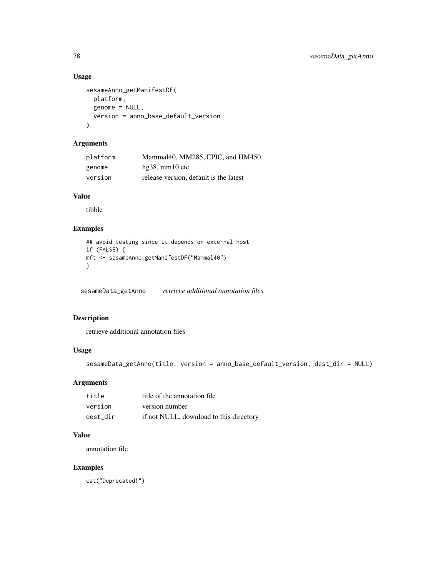## Usage

```
sesameAnno_getManifestDF(
  platform,
  genome = NULL,
  version = anno_base_default_version
\mathcal{L}
```
# Arguments

| platform | Mammal40, MM285, EPIC, and HM450       |
|----------|----------------------------------------|
| genome   | $hg38$ , mm $10$ etc.                  |
| version  | release version, default is the latest |

## Value

tibble

# Examples

```
## avoid testing since it depends on external host
if (FALSE) {
mft <- sesameAnno_getManifestDF("Mammal40")
}
```
sesameData\_getAnno *retrieve additional annotation files*

# Description

retrieve additional annotation files

# Usage

```
sesameData_getAnno(title, version = anno_base_default_version, dest_dir = NULL)
```
# Arguments

| title    | title of the annotation file            |
|----------|-----------------------------------------|
| version  | version number                          |
| dest dir | if not NULL, download to this directory |

# Value

annotation file

# Examples

cat("Deprecated!")

<span id="page-77-0"></span>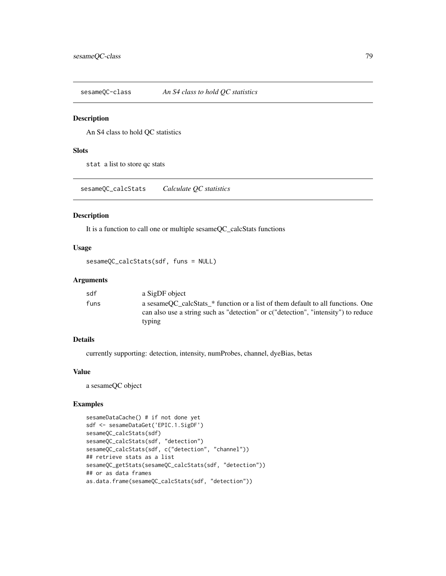<span id="page-78-0"></span>sesameQC-class *An S4 class to hold QC statistics*

#### Description

An S4 class to hold QC statistics

# Slots

stat a list to store qc stats

sesameQC\_calcStats *Calculate QC statistics*

# Description

It is a function to call one or multiple sesameQC\_calcStats functions

#### Usage

```
sesameQC_calcStats(sdf, funs = NULL)
```
# Arguments

| sdf  | a SigDF object                                                                                                                                                                   |
|------|----------------------------------------------------------------------------------------------------------------------------------------------------------------------------------|
| funs | a sesame OC calcStats * function or a list of them default to all functions. One<br>can also use a string such as "detection" or c("detection", "intensity") to reduce<br>typing |
|      |                                                                                                                                                                                  |

# Details

currently supporting: detection, intensity, numProbes, channel, dyeBias, betas

# Value

a sesameQC object

```
sesameDataCache() # if not done yet
sdf <- sesameDataGet('EPIC.1.SigDF')
sesameQC_calcStats(sdf)
sesameQC_calcStats(sdf, "detection")
sesameQC_calcStats(sdf, c("detection", "channel"))
## retrieve stats as a list
sesameQC_getStats(sesameQC_calcStats(sdf, "detection"))
## or as data frames
as.data.frame(sesameQC_calcStats(sdf, "detection"))
```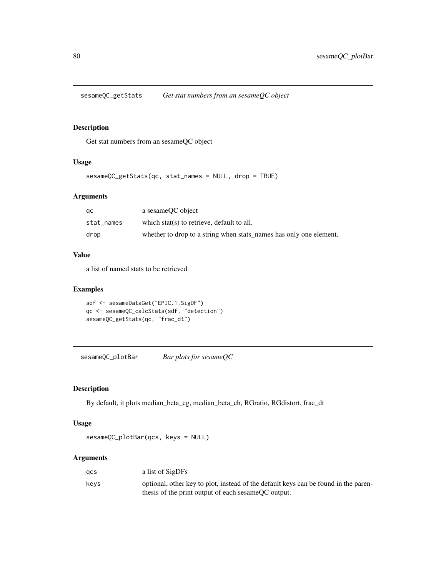<span id="page-79-0"></span>sesameQC\_getStats *Get stat numbers from an sesameQC object*

# Description

Get stat numbers from an sesameQC object

## Usage

sesameQC\_getStats(qc, stat\_names = NULL, drop = TRUE)

#### Arguments

| qc         | a sesameOC object                                                  |
|------------|--------------------------------------------------------------------|
| stat names | which stat(s) to retrieve, default to all.                         |
| drop       | whether to drop to a string when stats_names has only one element. |

#### Value

a list of named stats to be retrieved

#### Examples

```
sdf <- sesameDataGet("EPIC.1.SigDF")
qc <- sesameQC_calcStats(sdf, "detection")
sesameQC_getStats(qc, "frac_dt")
```
sesameQC\_plotBar *Bar plots for sesameQC*

# Description

By default, it plots median\_beta\_cg, median\_beta\_ch, RGratio, RGdistort, frac\_dt

#### Usage

```
sesameQC_plotBar(qcs, keys = NULL)
```
## Arguments

| acs  | a list of SigDFs                                                                    |
|------|-------------------------------------------------------------------------------------|
| kevs | optional, other key to plot, instead of the default keys can be found in the paren- |
|      | thesis of the print output of each sesame OC output.                                |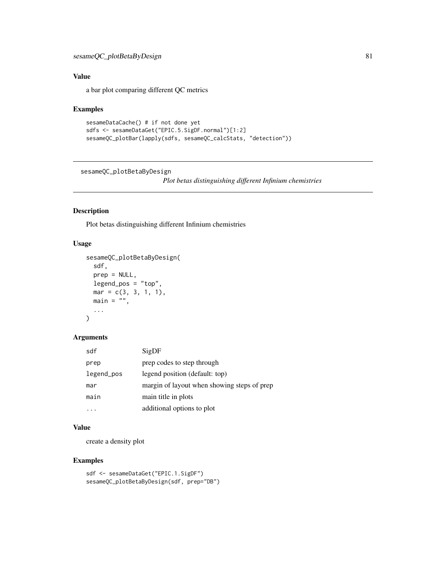# <span id="page-80-0"></span>Value

a bar plot comparing different QC metrics

#### Examples

```
sesameDataCache() # if not done yet
sdfs <- sesameDataGet("EPIC.5.SigDF.normal")[1:2]
sesameQC_plotBar(lapply(sdfs, sesameQC_calcStats, "detection"))
```
sesameQC\_plotBetaByDesign

*Plot betas distinguishing different Infinium chemistries*

#### Description

Plot betas distinguishing different Infinium chemistries

# Usage

```
sesameQC_plotBetaByDesign(
  sdf,
 prep = NULL,
  legend_pos = "top",
 mar = c(3, 3, 1, 1),main = "",...
)
```
#### Arguments

| sdf        | SigDF                                       |
|------------|---------------------------------------------|
| prep       | prep codes to step through                  |
| legend_pos | legend position (default: top)              |
| mar        | margin of layout when showing steps of prep |
| main       | main title in plots                         |
|            | additional options to plot                  |

#### Value

create a density plot

```
sdf <- sesameDataGet("EPIC.1.SigDF")
sesameQC_plotBetaByDesign(sdf, prep="DB")
```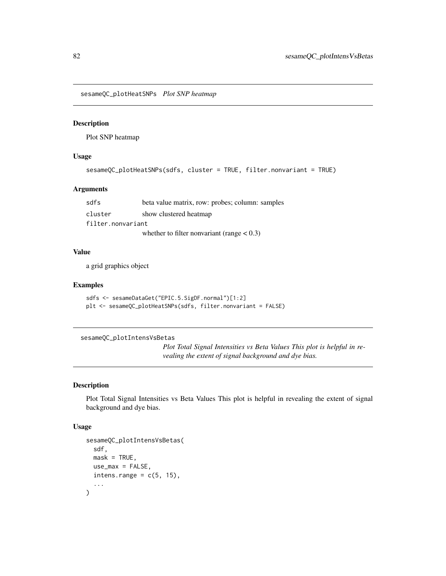<span id="page-81-0"></span>sesameQC\_plotHeatSNPs *Plot SNP heatmap*

# Description

Plot SNP heatmap

# Usage

```
sesameQC_plotHeatSNPs(sdfs, cluster = TRUE, filter.nonvariant = TRUE)
```
## Arguments

| sdfs              | beta value matrix, row: probes; column: samples |  |
|-------------------|-------------------------------------------------|--|
| cluster           | show clustered heatmap                          |  |
| filter.nonvariant |                                                 |  |
|                   | whether to filter nonvariant (range $< 0.3$ )   |  |

#### Value

a grid graphics object

#### Examples

```
sdfs <- sesameDataGet("EPIC.5.SigDF.normal")[1:2]
plt <- sesameQC_plotHeatSNPs(sdfs, filter.nonvariant = FALSE)
```
sesameQC\_plotIntensVsBetas

*Plot Total Signal Intensities vs Beta Values This plot is helpful in revealing the extent of signal background and dye bias.*

#### Description

Plot Total Signal Intensities vs Beta Values This plot is helpful in revealing the extent of signal background and dye bias.

#### Usage

```
sesameQC_plotIntensVsBetas(
  sdf,
 mask = TRUE,use_max = FALSE,intens.range = c(5, 15),
  ...
\mathcal{E}
```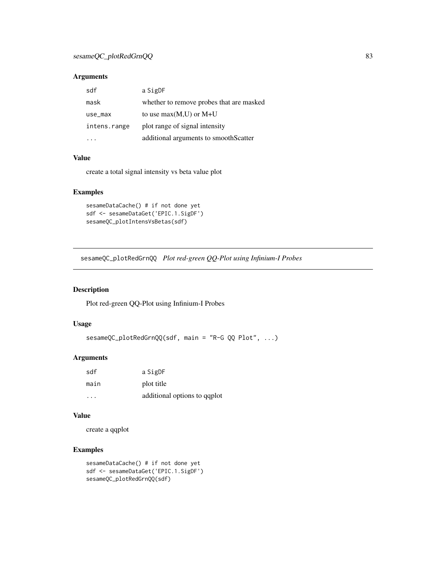## <span id="page-82-0"></span>Arguments

| sdf          | a SigDF                                  |
|--------------|------------------------------------------|
| mask         | whether to remove probes that are masked |
| use_max      | to use $max(M,U)$ or $M+U$               |
| intens.range | plot range of signal intensity           |
|              | additional arguments to smoothScatter    |

### Value

create a total signal intensity vs beta value plot

# Examples

```
sesameDataCache() # if not done yet
sdf <- sesameDataGet('EPIC.1.SigDF')
sesameQC_plotIntensVsBetas(sdf)
```
sesameQC\_plotRedGrnQQ *Plot red-green QQ-Plot using Infinium-I Probes*

#### Description

Plot red-green QQ-Plot using Infinium-I Probes

# Usage

```
sesameQC_plotRedGrnQQ(sdf, main = "R-G QQ Plot", ...)
```
## Arguments

| sdf  | a SigDF                      |
|------|------------------------------|
| main | plot title                   |
| .    | additional options to qqplot |

#### Value

create a qqplot

```
sesameDataCache() # if not done yet
sdf <- sesameDataGet('EPIC.1.SigDF')
sesameQC_plotRedGrnQQ(sdf)
```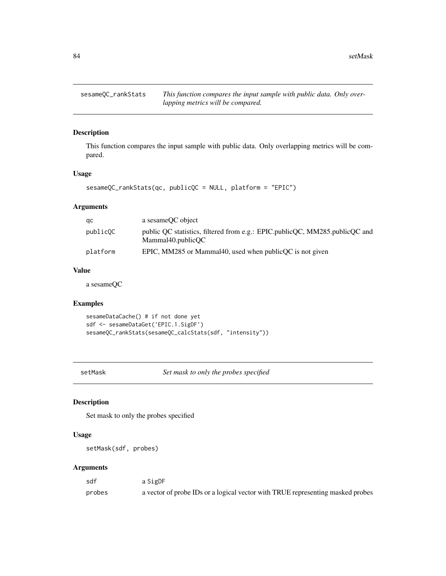<span id="page-83-0"></span>sesameQC\_rankStats *This function compares the input sample with public data. Only overlapping metrics will be compared.*

# Description

This function compares the input sample with public data. Only overlapping metrics will be compared.

#### Usage

```
sesameQC_rankStats(qc, publicQC = NULL, platform = "EPIC")
```
# Arguments

| qс       | a sesame QC object                                                                               |
|----------|--------------------------------------------------------------------------------------------------|
| publicOC | public OC statistics, filtered from e.g.: EPIC.publicOC, MM285.publicOC and<br>Mammal40.publicOC |
| platform | EPIC, MM285 or Mammal40, used when $publicQC$ is not given                                       |

#### Value

a sesameQC

# Examples

```
sesameDataCache() # if not done yet
sdf <- sesameDataGet('EPIC.1.SigDF')
sesameQC_rankStats(sesameQC_calcStats(sdf, "intensity"))
```
setMask *Set mask to only the probes specified*

# Description

Set mask to only the probes specified

#### Usage

```
setMask(sdf, probes)
```
# Arguments

| sdf    | a SigDF                                                                        |
|--------|--------------------------------------------------------------------------------|
| probes | a vector of probe IDs or a logical vector with TRUE representing masked probes |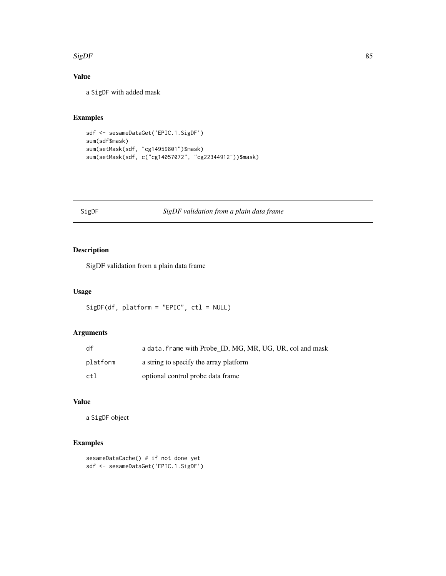#### <span id="page-84-0"></span> $SigDF$  85

# Value

a SigDF with added mask

# Examples

```
sdf <- sesameDataGet('EPIC.1.SigDF')
sum(sdf$mask)
sum(setMask(sdf, "cg14959801")$mask)
sum(setMask(sdf, c("cg14057072", "cg22344912"))$mask)
```
# SigDF *SigDF validation from a plain data frame*

# Description

SigDF validation from a plain data frame

# Usage

SigDF(df, platform = "EPIC", ctl = NULL)

## Arguments

| df       | a data. frame with Probe ID, MG, MR, UG, UR, col and mask |
|----------|-----------------------------------------------------------|
| platform | a string to specify the array platform                    |
| ctl      | optional control probe data frame                         |

# Value

a SigDF object

```
sesameDataCache() # if not done yet
sdf <- sesameDataGet('EPIC.1.SigDF')
```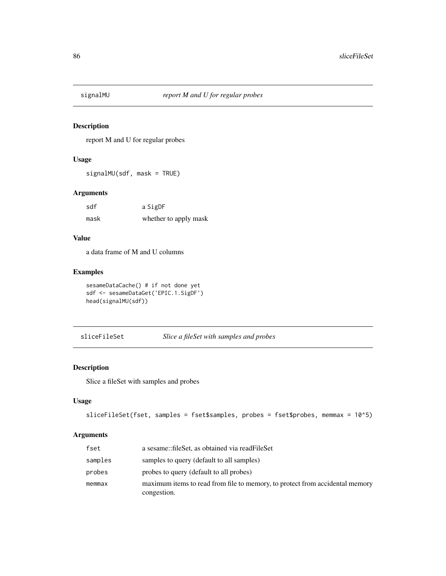<span id="page-85-0"></span>

report M and U for regular probes

# Usage

signalMU(sdf, mask = TRUE)

#### Arguments

| sdf  | a SigDF               |
|------|-----------------------|
| mask | whether to apply mask |

## Value

a data frame of M and U columns

# Examples

```
sesameDataCache() # if not done yet
sdf <- sesameDataGet('EPIC.1.SigDF')
head(signalMU(sdf))
```
sliceFileSet *Slice a fileSet with samples and probes*

# Description

Slice a fileSet with samples and probes

# Usage

```
sliceFileSet(fset, samples = fset$samples, probes = fset$probes, memmax = 10^5)
```
# Arguments

| fset    | a sesame::fileSet, as obtained via readFileSet                                              |
|---------|---------------------------------------------------------------------------------------------|
| samples | samples to query (default to all samples)                                                   |
| probes  | probes to query (default to all probes)                                                     |
| memmax  | maximum items to read from file to memory, to protect from accidental memory<br>congestion. |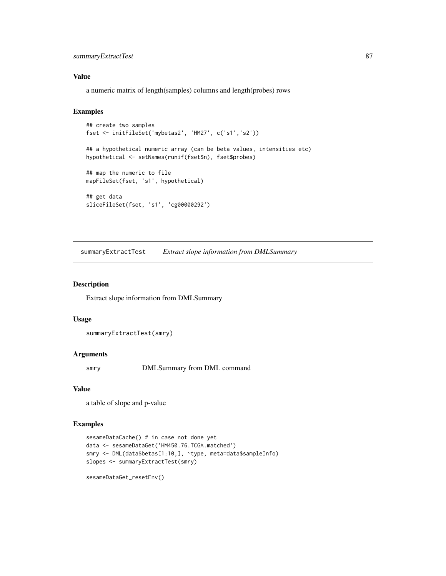# <span id="page-86-0"></span>summaryExtractTest 87

#### Value

a numeric matrix of length(samples) columns and length(probes) rows

#### Examples

```
## create two samples
fset <- initFileSet('mybetas2', 'HM27', c('s1','s2'))
## a hypothetical numeric array (can be beta values, intensities etc)
hypothetical <- setNames(runif(fset$n), fset$probes)
## map the numeric to file
mapFileSet(fset, 's1', hypothetical)
## get data
sliceFileSet(fset, 's1', 'cg00000292')
```
summaryExtractTest *Extract slope information from DMLSummary*

#### Description

Extract slope information from DMLSummary

#### Usage

```
summaryExtractTest(smry)
```
#### Arguments

smry DMLSummary from DML command

## Value

a table of slope and p-value

# Examples

```
sesameDataCache() # in case not done yet
data <- sesameDataGet('HM450.76.TCGA.matched')
smry <- DML(data$betas[1:10,], ~type, meta=data$sampleInfo)
slopes <- summaryExtractTest(smry)
```
sesameDataGet\_resetEnv()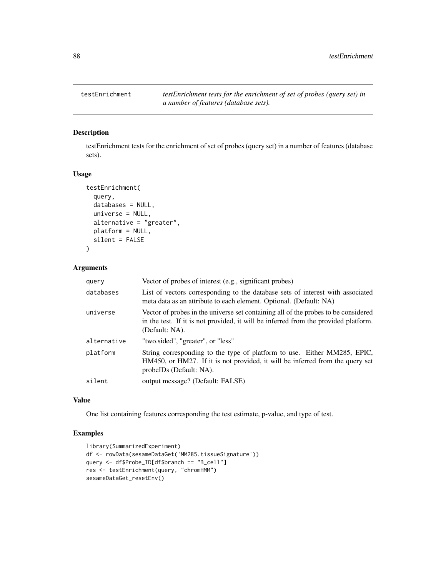<span id="page-87-0"></span>testEnrichment *testEnrichment tests for the enrichment of set of probes (query set) in a number of features (database sets).*

# Description

testEnrichment tests for the enrichment of set of probes (query set) in a number of features (database sets).

#### Usage

```
testEnrichment(
  query,
  databases = NULL,
  universe = NULL,
  alternative = "greater",
 platform = NULL,
  silent = FALSE
\mathcal{E}
```
# Arguments

| query       | Vector of probes of interest (e.g., significant probes)                                                                                                                                     |
|-------------|---------------------------------------------------------------------------------------------------------------------------------------------------------------------------------------------|
| databases   | List of vectors corresponding to the database sets of interest with associated<br>meta data as an attribute to each element. Optional. (Default: NA)                                        |
| universe    | Vector of probes in the universe set containing all of the probes to be considered<br>in the test. If it is not provided, it will be inferred from the provided platform.<br>(Default: NA). |
| alternative | "two.sided", "greater", or "less"                                                                                                                                                           |
| platform    | String corresponding to the type of platform to use. Either MM285, EPIC,<br>HM450, or HM27. If it is not provided, it will be inferred from the query set<br>probelDs (Default: NA).        |
| silent      | output message? (Default: FALSE)                                                                                                                                                            |

# Value

One list containing features corresponding the test estimate, p-value, and type of test.

```
library(SummarizedExperiment)
df <- rowData(sesameDataGet('MM285.tissueSignature'))
query <- df$Probe_ID[df$branch == "B_cell"]
res <- testEnrichment(query, "chromHMM")
sesameDataGet_resetEnv()
```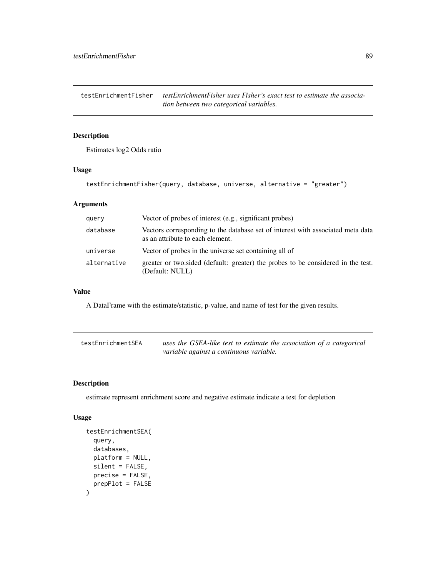<span id="page-88-0"></span>testEnrichmentFisher *testEnrichmentFisher uses Fisher's exact test to estimate the association between two categorical variables.*

# Description

Estimates log2 Odds ratio

# Usage

testEnrichmentFisher(query, database, universe, alternative = "greater")

## Arguments

| query       | Vector of probes of interest (e.g., significant probes)                                                             |
|-------------|---------------------------------------------------------------------------------------------------------------------|
| database    | Vectors corresponding to the database set of interest with associated meta data<br>as an attribute to each element. |
| universe    | Vector of probes in the universe set containing all of                                                              |
| alternative | greater or two sided (default: greater) the probes to be considered in the test.<br>(Default: NULL)                 |

#### Value

A DataFrame with the estimate/statistic, p-value, and name of test for the given results.

| testEnrichmentSEA | uses the GSEA-like test to estimate the association of a categorical |
|-------------------|----------------------------------------------------------------------|
|                   | variable against a continuous variable.                              |

# Description

estimate represent enrichment score and negative estimate indicate a test for depletion

# Usage

```
testEnrichmentSEA(
  query,
  databases,
 platform = NULL,
  silent = FALSE,
 precise = FALSE,
 prepPlot = FALSE
\mathcal{E}
```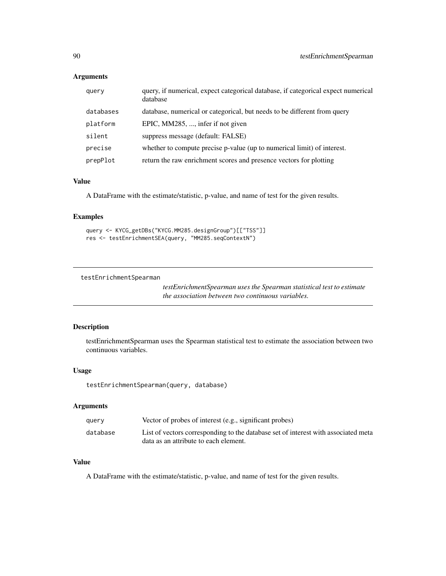# <span id="page-89-0"></span>Arguments

| query     | query, if numerical, expect categorical database, if categorical expect numerical<br>database |
|-----------|-----------------------------------------------------------------------------------------------|
| databases | database, numerical or categorical, but needs to be different from query                      |
| platform  | EPIC, MM285, , infer if not given                                                             |
| silent    | suppress message (default: FALSE)                                                             |
| precise   | whether to compute precise p-value (up to numerical limit) of interest.                       |
| prepPlot  | return the raw enrichment scores and presence vectors for plotting                            |

#### Value

A DataFrame with the estimate/statistic, p-value, and name of test for the given results.

#### Examples

```
query <- KYCG_getDBs("KYCG.MM285.designGroup")[["TSS"]]
res <- testEnrichmentSEA(query, "MM285.seqContextN")
```
testEnrichmentSpearman

*testEnrichmentSpearman uses the Spearman statistical test to estimate the association between two continuous variables.*

# Description

testEnrichmentSpearman uses the Spearman statistical test to estimate the association between two continuous variables.

#### Usage

testEnrichmentSpearman(query, database)

## Arguments

| query    | Vector of probes of interest (e.g., significant probes)                            |
|----------|------------------------------------------------------------------------------------|
| database | List of vectors corresponding to the database set of interest with associated meta |
|          | data as an attribute to each element.                                              |

#### Value

A DataFrame with the estimate/statistic, p-value, and name of test for the given results.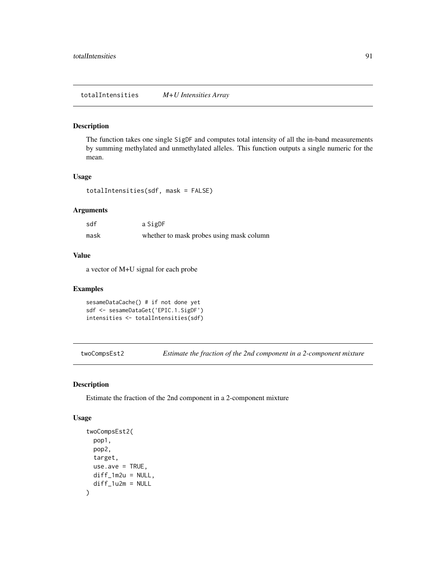<span id="page-90-0"></span>The function takes one single SigDF and computes total intensity of all the in-band measurements by summing methylated and unmethylated alleles. This function outputs a single numeric for the mean.

### Usage

totalIntensities(sdf, mask = FALSE)

#### Arguments

| sdf  | a SigDF                                  |
|------|------------------------------------------|
| mask | whether to mask probes using mask column |

#### Value

a vector of M+U signal for each probe

#### Examples

```
sesameDataCache() # if not done yet
sdf <- sesameDataGet('EPIC.1.SigDF')
intensities <- totalIntensities(sdf)
```
twoCompsEst2 *Estimate the fraction of the 2nd component in a 2-component mixture*

# Description

Estimate the fraction of the 2nd component in a 2-component mixture

#### Usage

```
twoCompsEst2(
 pop1,
 pop2,
 target,
 use.ave = TRUE,diff_1m2u = NULL,diff_1u2m = NULL
)
```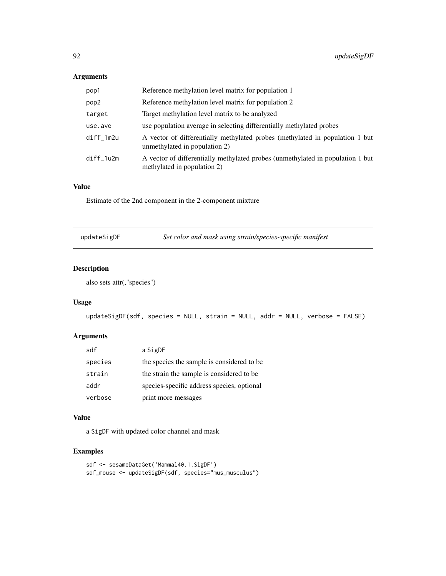# <span id="page-91-0"></span>Arguments

| pop1      | Reference methylation level matrix for population 1                                                           |
|-----------|---------------------------------------------------------------------------------------------------------------|
| pop2      | Reference methylation level matrix for population 2                                                           |
| target    | Target methylation level matrix to be analyzed                                                                |
| use.ave   | use population average in selecting differentially methylated probes                                          |
| diff_1m2u | A vector of differentially methylated probes (methylated in population 1 but<br>unmethylated in population 2) |
| diff_1u2m | A vector of differentially methylated probes (unmethylated in population 1 but<br>methylated in population 2) |

## Value

Estimate of the 2nd component in the 2-component mixture

| updateSigDF | Set color and mask using strain/species-specific manifest |  |
|-------------|-----------------------------------------------------------|--|
|-------------|-----------------------------------------------------------|--|

# Description

also sets attr(,"species")

# Usage

```
updateSigDF(sdf, species = NULL, strain = NULL, addr = NULL, verbose = FALSE)
```
# Arguments

| sdf     | a SigDF                                    |
|---------|--------------------------------------------|
| species | the species the sample is considered to be |
| strain  | the strain the sample is considered to be  |
| addr    | species-specific address species, optional |
| verbose | print more messages                        |

# Value

a SigDF with updated color channel and mask

```
sdf <- sesameDataGet('Mammal40.1.SigDF')
sdf_mouse <- updateSigDF(sdf, species="mus_musculus")
```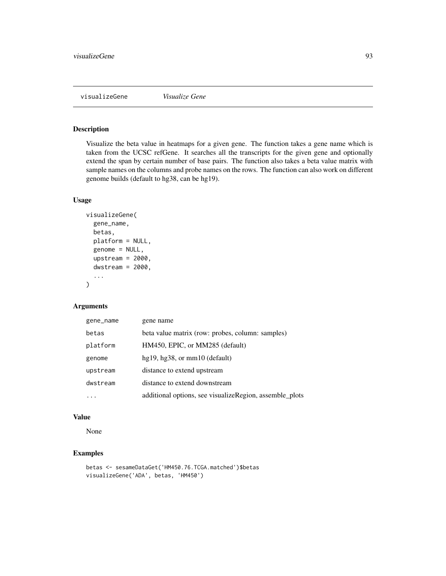<span id="page-92-0"></span>

Visualize the beta value in heatmaps for a given gene. The function takes a gene name which is taken from the UCSC refGene. It searches all the transcripts for the given gene and optionally extend the span by certain number of base pairs. The function also takes a beta value matrix with sample names on the columns and probe names on the rows. The function can also work on different genome builds (default to hg38, can be hg19).

#### Usage

```
visualizeGene(
  gene_name,
  betas,
  platform = NULL,
  genome = NULL,
  upstream = 2000,
  dwstream = 2000,
  ...
)
```
#### Arguments

| gene_name | gene name                                               |
|-----------|---------------------------------------------------------|
| betas     | beta value matrix (row: probes, column: samples)        |
| platform  | HM450, EPIC, or MM285 (default)                         |
| genome    | $hg19, hg38, or mm10$ (default)                         |
| upstream  | distance to extend upstream                             |
| dwstream  | distance to extend downstream                           |
|           | additional options, see visualizeRegion, assemble_plots |

#### Value

None

# Examples

betas <- sesameDataGet('HM450.76.TCGA.matched')\$betas visualizeGene('ADA', betas, 'HM450')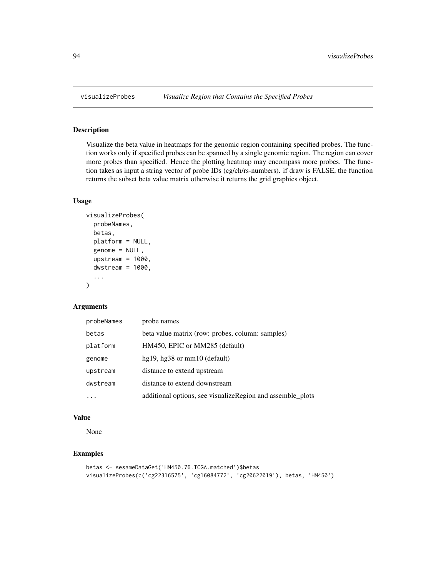Visualize the beta value in heatmaps for the genomic region containing specified probes. The function works only if specified probes can be spanned by a single genomic region. The region can cover more probes than specified. Hence the plotting heatmap may encompass more probes. The function takes as input a string vector of probe IDs (cg/ch/rs-numbers). if draw is FALSE, the function returns the subset beta value matrix otherwise it returns the grid graphics object.

#### Usage

```
visualizeProbes(
  probeNames,
  betas,
  platform = NULL,
  genome = NULL,
  upstream = 1000,
  dwstream = 1000,
  ...
)
```
#### Arguments

| probeNames | probe names                                                |
|------------|------------------------------------------------------------|
| betas      | beta value matrix (row: probes, column: samples)           |
| platform   | HM450, EPIC or MM285 (default)                             |
| genome     | hg19, hg38 or $mm10$ (default)                             |
| upstream   | distance to extend upstream                                |
| dwstream   | distance to extend downstream                              |
|            | additional options, see visualizeRegion and assemble_plots |

#### Value

None

```
betas <- sesameDataGet('HM450.76.TCGA.matched')$betas
visualizeProbes(c('cg22316575', 'cg16084772', 'cg20622019'), betas, 'HM450')
```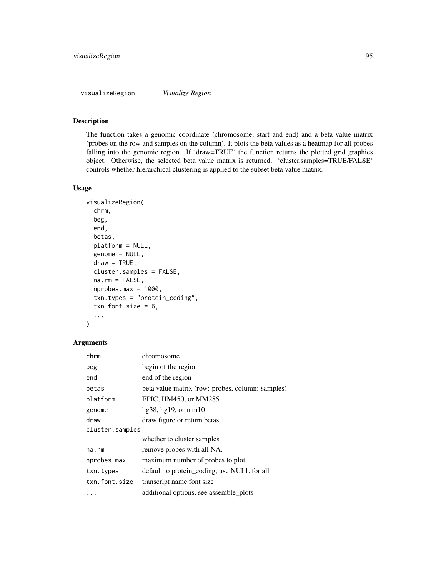<span id="page-94-0"></span>visualizeRegion *Visualize Region*

#### Description

The function takes a genomic coordinate (chromosome, start and end) and a beta value matrix (probes on the row and samples on the column). It plots the beta values as a heatmap for all probes falling into the genomic region. If 'draw=TRUE' the function returns the plotted grid graphics object. Otherwise, the selected beta value matrix is returned. 'cluster.samples=TRUE/FALSE' controls whether hierarchical clustering is applied to the subset beta value matrix.

## Usage

```
visualizeRegion(
  chrm,
  beg,
  end,
  betas,
  platform = NULL,
  genome = NULL,
  draw = TRUE,cluster.samples = FALSE,
  na.rm = FALSE,nprobes.max = 1000,txn.types = "protein_coding",
  txn.font.size = 6,
  ...
)
```
# Arguments

| chrm            | chromosome                                       |  |
|-----------------|--------------------------------------------------|--|
| beg             | begin of the region                              |  |
| end             | end of the region                                |  |
| betas           | beta value matrix (row: probes, column: samples) |  |
| platform        | EPIC, HM450, or MM285                            |  |
| genome          | hg38, hg19, or mm10                              |  |
| draw            | draw figure or return betas                      |  |
| cluster.samples |                                                  |  |
|                 | whether to cluster samples                       |  |
| na.rm           | remove probes with all NA.                       |  |
| nprobes.max     | maximum number of probes to plot                 |  |
| txn.types       | default to protein_coding, use NULL for all      |  |
| txn.font.size   | transcript name font size                        |  |
| .               | additional options, see assemble_plots           |  |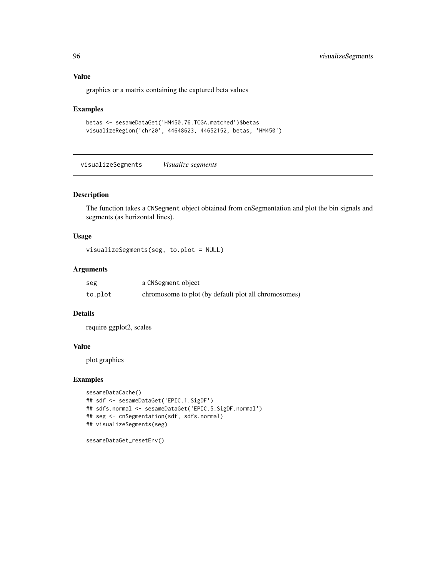#### Value

graphics or a matrix containing the captured beta values

#### Examples

```
betas <- sesameDataGet('HM450.76.TCGA.matched')$betas
visualizeRegion('chr20', 44648623, 44652152, betas, 'HM450')
```
visualizeSegments *Visualize segments*

# Description

The function takes a CNSegment object obtained from cnSegmentation and plot the bin signals and segments (as horizontal lines).

## Usage

```
visualizeSegments(seg, to.plot = NULL)
```
## Arguments

| seg     | a CNSegment object                                   |
|---------|------------------------------------------------------|
| to.plot | chromosome to plot (by default plot all chromosomes) |

## Details

require ggplot2, scales

#### Value

plot graphics

```
sesameDataCache()
## sdf <- sesameDataGet('EPIC.1.SigDF')
## sdfs.normal <- sesameDataGet('EPIC.5.SigDF.normal')
## seg <- cnSegmentation(sdf, sdfs.normal)
## visualizeSegments(seg)
```

```
sesameDataGet_resetEnv()
```
<span id="page-95-0"></span>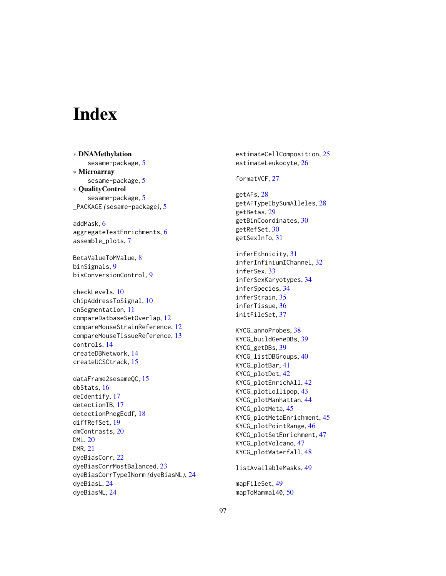# **Index**

∗ DNAMethylation sesame-package, [5](#page-4-0) ∗ Microarray sesame-package, [5](#page-4-0) ∗ QualityControl sesame-package, [5](#page-4-0) \_PACKAGE *(*sesame-package*)*, [5](#page-4-0) addMask, [6](#page-5-0) aggregateTestEnrichments, [6](#page-5-0) assemble\_plots, [7](#page-6-0) BetaValueToMValue, [8](#page-7-0) binSignals, [9](#page-8-0) bisConversionControl, [9](#page-8-0) checkLevels, [10](#page-9-0) chipAddressToSignal, [10](#page-9-0) cnSegmentation, [11](#page-10-0) compareDatbaseSetOverlap, [12](#page-11-0) compareMouseStrainReference, [12](#page-11-0) compareMouseTissueReference, [13](#page-12-0) controls, [14](#page-13-0) createDBNetwork, [14](#page-13-0) createUCSCtrack, [15](#page-14-0) dataFrame2sesameQC, [15](#page-14-0) dbStats, [16](#page-15-0) deIdentify, [17](#page-16-0) detectionIB, [17](#page-16-0) detectionPnegEcdf, [18](#page-17-0) diffRefSet, [19](#page-18-0) dmContrasts, [20](#page-19-0) DML, [20](#page-19-0) DMR, [21](#page-20-0) dyeBiasCorr, [22](#page-21-0) dyeBiasCorrMostBalanced, [23](#page-22-0) dyeBiasCorrTypeINorm *(*dyeBiasNL*)*, [24](#page-23-0) dyeBiasL, [24](#page-23-0) dyeBiasNL, [24](#page-23-0)

estimateCellComposition, [25](#page-24-0) estimateLeukocyte, [26](#page-25-0) formatVCF, [27](#page-26-0)

getAFs, [28](#page-27-0) getAFTypeIbySumAlleles, [28](#page-27-0) getBetas, [29](#page-28-0) getBinCoordinates, [30](#page-29-0) getRefSet, [30](#page-29-0) getSexInfo, [31](#page-30-0)

inferEthnicity, [31](#page-30-0) inferInfiniumIChannel, [32](#page-31-0) inferSex, [33](#page-32-0) inferSexKaryotypes, [34](#page-33-0) inferSpecies, [34](#page-33-0) inferStrain, [35](#page-34-0) inferTissue, [36](#page-35-0) initFileSet, [37](#page-36-0)

KYCG\_annoProbes, [38](#page-37-0) KYCG\_buildGeneDBs, [39](#page-38-0) KYCG\_getDBs, [39](#page-38-0) KYCG\_listDBGroups, [40](#page-39-0) KYCG\_plotBar, [41](#page-40-0) KYCG\_plotDot, [42](#page-41-0) KYCG\_plotEnrichAll, [42](#page-41-0) KYCG\_plotLollipop, [43](#page-42-0) KYCG\_plotManhattan, [44](#page-43-0) KYCG\_plotMeta, [45](#page-44-0) KYCG\_plotMetaEnrichment, [45](#page-44-0) KYCG\_plotPointRange, [46](#page-45-0) KYCG\_plotSetEnrichment, [47](#page-46-0) KYCG\_plotVolcano, [47](#page-46-0) KYCG\_plotWaterfall, [48](#page-47-0)

listAvailableMasks, [49](#page-48-0)

mapFileSet, [49](#page-48-0) mapToMammal40, [50](#page-49-0)